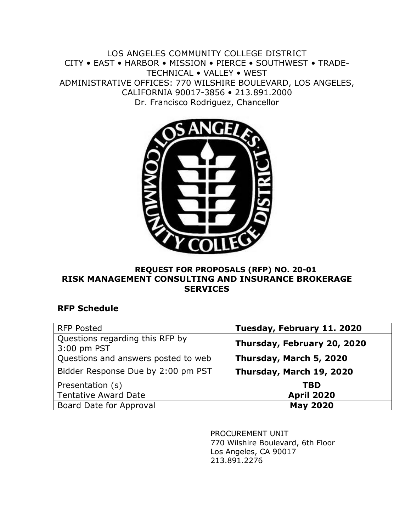LOS ANGELES COMMUNITY COLLEGE DISTRICT CITY • EAST • HARBOR • MISSION • PIERCE • SOUTHWEST • TRADE-TECHNICAL • VALLEY • WEST ADMINISTRATIVE OFFICES: 770 WILSHIRE BOULEVARD, LOS ANGELES, CALIFORNIA 90017-3856 • 213.891.2000 Dr. Francisco Rodriguez, Chancellor



#### **REQUEST FOR PROPOSALS (RFP) NO. 20-01 RISK MANAGEMENT CONSULTING AND INSURANCE BROKERAGE SERVICES**

#### **RFP Schedule**

| <b>RFP Posted</b>                                | Tuesday, February 11. 2020  |
|--------------------------------------------------|-----------------------------|
| Questions regarding this RFP by<br>$3:00$ pm PST | Thursday, February 20, 2020 |
| Questions and answers posted to web              | Thursday, March 5, 2020     |
| Bidder Response Due by 2:00 pm PST               | Thursday, March 19, 2020    |
| Presentation (s)                                 | TBD                         |
| <b>Tentative Award Date</b>                      | <b>April 2020</b>           |
| Board Date for Approval                          | <b>May 2020</b>             |

 PROCUREMENT UNIT 770 Wilshire Boulevard, 6th Floor Los Angeles, CA 90017 213.891.2276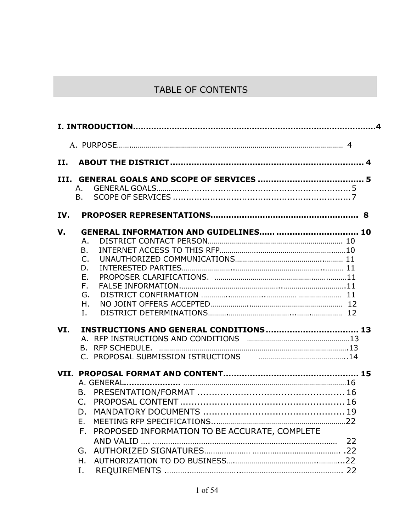## TABLE OF CONTENTS

| II. |                                                    |                                                         |
|-----|----------------------------------------------------|---------------------------------------------------------|
|     | А.<br>B.                                           |                                                         |
| IV. |                                                    |                                                         |
| V.  | А.<br>Β.<br>C.<br>D.<br>Ε.<br>F.<br>G.<br>Η.<br>I. |                                                         |
| VI. |                                                    | C. PROPOSAL SUBMISSION ISTRUCTIONS <b>CONSTRUCTIONS</b> |
|     | $C_{\cdot}$<br>E.<br>F.<br>G.<br>Η.<br>Ι.          | PROPOSED INFORMATION TO BE ACCURATE, COMPLETE<br>22     |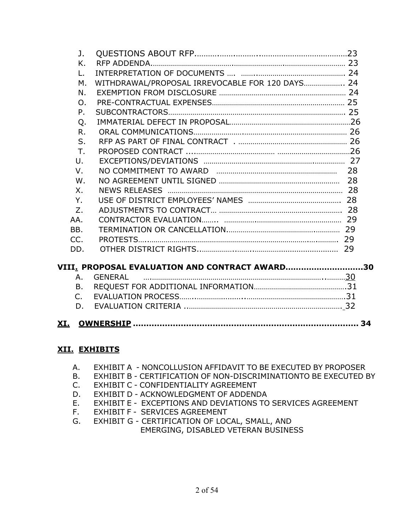| J.          |                                                 |  |
|-------------|-------------------------------------------------|--|
| K.          |                                                 |  |
| L.          |                                                 |  |
| М.          | WITHDRAWAL/PROPOSAL IRREVOCABLE FOR 120 DAYS 24 |  |
| N.          |                                                 |  |
| O.          |                                                 |  |
| P.          |                                                 |  |
| Q.          |                                                 |  |
| R.          |                                                 |  |
| S.          |                                                 |  |
| T.          |                                                 |  |
| $U_{\cdot}$ |                                                 |  |
| $V_{\cdot}$ |                                                 |  |
| W.          |                                                 |  |
| X.          |                                                 |  |
| Υ.          |                                                 |  |
| Z.          |                                                 |  |
| AA.         |                                                 |  |
| BB.         |                                                 |  |
| CC.         |                                                 |  |
| DD.         |                                                 |  |
|             | VIII. PROPOSAL EVALUATION AND CONTRACT AWARD30  |  |
| Α.          | <b>GENERAL</b>                                  |  |
| <b>B.</b>   |                                                 |  |
|             |                                                 |  |
| D.          |                                                 |  |
|             |                                                 |  |

#### **XII. EXHIBITS**

| А.             | EXHIBIT A - NONCOLLUSION AFFIDAVIT TO BE EXECUTED BY PROPOSER    |
|----------------|------------------------------------------------------------------|
| В.             | EXHIBIT B - CERTIFICATION OF NON-DISCRIMINATIONTO BE EXECUTED BY |
| $\mathsf{C}$ . | EXHIBIT C - CONFIDENTIALITY AGREEMENT                            |
| D.             | EXHIBIT D - ACKNOWLEDGMENT OF ADDENDA                            |
| F.             | EXHIBIT E - EXCEPTIONS AND DEVIATIONS TO SERVICES AGREEMENT      |
| E.             | <b>EXHIBIT F - SERVICES AGREEMENT</b>                            |
| G.             | EXHIBIT G - CERTIFICATION OF LOCAL, SMALL, AND                   |
|                | EMERGING, DISABLED VETERAN BUSINESS                              |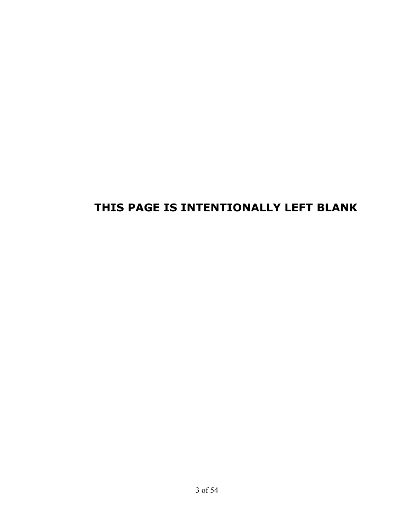# **THIS PAGE IS INTENTIONALLY LEFT BLANK**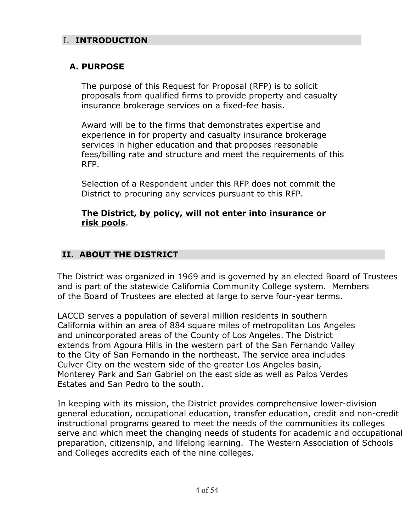#### I. **INTRODUCTION**

### **A. PURPOSE**

The purpose of this Request for Proposal (RFP) is to solicit proposals from qualified firms to provide property and casualty insurance brokerage services on a fixed-fee basis.

Award will be to the firms that demonstrates expertise and experience in for property and casualty insurance brokerage services in higher education and that proposes reasonable fees/billing rate and structure and meet the requirements of this RFP.

Selection of a Respondent under this RFP does not commit the District to procuring any services pursuant to this RFP.

#### **The District, by policy, will not enter into insurance or risk pools**.

### **II. ABOUT THE DISTRICT**

The District was organized in 1969 and is governed by an elected Board of Trustees and is part of the statewide California Community College system. Members of the Board of Trustees are elected at large to serve four-year terms.

LACCD serves a population of several million residents in southern California within an area of 884 square miles of metropolitan Los Angeles and unincorporated areas of the County of Los Angeles. The District extends from Agoura Hills in the western part of the San Fernando Valley to the City of San Fernando in the northeast. The service area includes Culver City on the western side of the greater Los Angeles basin, Monterey Park and San Gabriel on the east side as well as Palos Verdes Estates and San Pedro to the south.

In keeping with its mission, the District provides comprehensive lower-division general education, occupational education, transfer education, credit and non-credit instructional programs geared to meet the needs of the communities its colleges serve and which meet the changing needs of students for academic and occupational preparation, citizenship, and lifelong learning. The Western Association of Schools and Colleges accredits each of the nine colleges.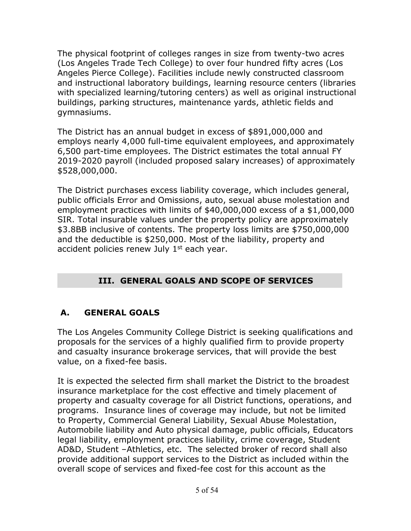The physical footprint of colleges ranges in size from twenty-two acres (Los Angeles Trade Tech College) to over four hundred fifty acres (Los Angeles Pierce College). Facilities include newly constructed classroom and instructional laboratory buildings, learning resource centers (libraries with specialized learning/tutoring centers) as well as original instructional buildings, parking structures, maintenance yards, athletic fields and gymnasiums.

The District has an annual budget in excess of \$891,000,000 and employs nearly 4,000 full-time equivalent employees, and approximately 6,500 part-time employees. The District estimates the total annual FY 2019-2020 payroll (included proposed salary increases) of approximately \$528,000,000.

The District purchases excess liability coverage, which includes general, public officials Error and Omissions, auto, sexual abuse molestation and employment practices with limits of \$40,000,000 excess of a \$1,000,000 SIR. Total insurable values under the property policy are approximately \$3.8BB inclusive of contents. The property loss limits are \$750,000,000 and the deductible is \$250,000. Most of the liability, property and accident policies renew July  $1<sup>st</sup>$  each year.

## **III. GENERAL GOALS AND SCOPE OF SERVICES**

## **A. GENERAL GOALS**

The Los Angeles Community College District is seeking qualifications and proposals for the services of a highly qualified firm to provide property and casualty insurance brokerage services, that will provide the best value, on a fixed-fee basis.

It is expected the selected firm shall market the District to the broadest insurance marketplace for the cost effective and timely placement of property and casualty coverage for all District functions, operations, and programs. Insurance lines of coverage may include, but not be limited to Property, Commercial General Liability, Sexual Abuse Molestation, Automobile liability and Auto physical damage, public officials, Educators legal liability, employment practices liability, crime coverage, Student AD&D, Student –Athletics, etc. The selected broker of record shall also provide additional support services to the District as included within the overall scope of services and fixed-fee cost for this account as the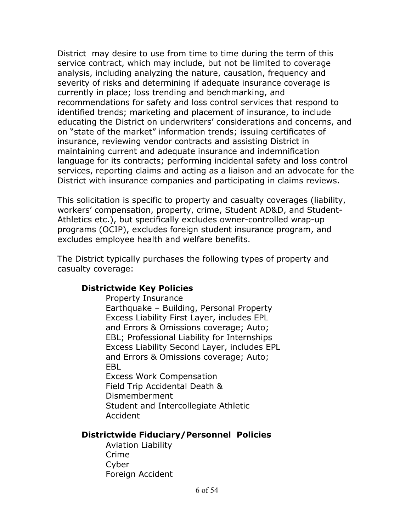District may desire to use from time to time during the term of this service contract, which may include, but not be limited to coverage analysis, including analyzing the nature, causation, frequency and severity of risks and determining if adequate insurance coverage is currently in place; loss trending and benchmarking, and recommendations for safety and loss control services that respond to identified trends; marketing and placement of insurance, to include educating the District on underwriters' considerations and concerns, and on "state of the market" information trends; issuing certificates of insurance, reviewing vendor contracts and assisting District in maintaining current and adequate insurance and indemnification language for its contracts; performing incidental safety and loss control services, reporting claims and acting as a liaison and an advocate for the District with insurance companies and participating in claims reviews.

This solicitation is specific to property and casualty coverages (liability, workers' compensation, property, crime, Student AD&D, and Student-Athletics etc.), but specifically excludes owner-controlled wrap-up programs (OCIP), excludes foreign student insurance program, and excludes employee health and welfare benefits.

The District typically purchases the following types of property and casualty coverage:

#### **Districtwide Key Policies**

Property Insurance Earthquake – Building, Personal Property Excess Liability First Layer, includes EPL and Errors & Omissions coverage; Auto; EBL; Professional Liability for Internships Excess Liability Second Layer, includes EPL and Errors & Omissions coverage; Auto; EBL Excess Work Compensation Field Trip Accidental Death & Dismemberment Student and Intercollegiate Athletic Accident

#### **Districtwide Fiduciary/Personnel Policies**

Aviation Liability Crime Cyber Foreign Accident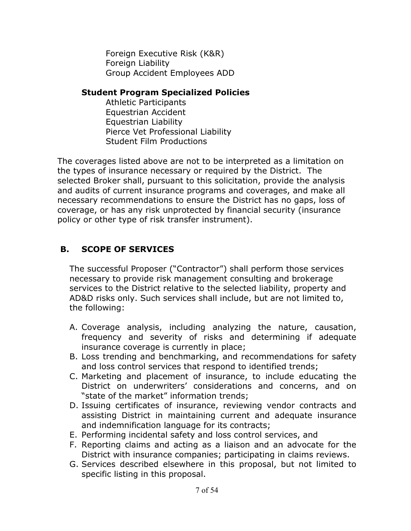Foreign Executive Risk (K&R) Foreign Liability Group Accident Employees ADD

#### **Student Program Specialized Policies**

Athletic Participants Equestrian Accident Equestrian Liability Pierce Vet Professional Liability Student Film Productions

The coverages listed above are not to be interpreted as a limitation on the types of insurance necessary or required by the District. The selected Broker shall, pursuant to this solicitation, provide the analysis and audits of current insurance programs and coverages, and make all necessary recommendations to ensure the District has no gaps, loss of coverage, or has any risk unprotected by financial security (insurance policy or other type of risk transfer instrument).

## **B. SCOPE OF SERVICES**

The successful Proposer ("Contractor") shall perform those services necessary to provide risk management consulting and brokerage services to the District relative to the selected liability, property and AD&D risks only. Such services shall include, but are not limited to, the following:

- A. Coverage analysis, including analyzing the nature, causation, frequency and severity of risks and determining if adequate insurance coverage is currently in place;
- B. Loss trending and benchmarking, and recommendations for safety and loss control services that respond to identified trends;
- C. Marketing and placement of insurance, to include educating the District on underwriters' considerations and concerns, and on "state of the market" information trends;
- D. Issuing certificates of insurance, reviewing vendor contracts and assisting District in maintaining current and adequate insurance and indemnification language for its contracts;
- E. Performing incidental safety and loss control services, and
- F. Reporting claims and acting as a liaison and an advocate for the District with insurance companies; participating in claims reviews.
- G. Services described elsewhere in this proposal, but not limited to specific listing in this proposal.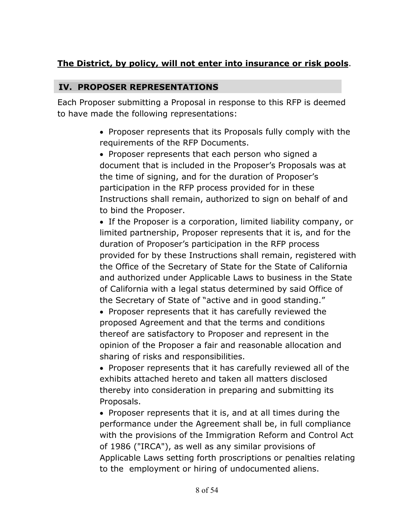## **The District, by policy, will not enter into insurance or risk pools**.

### **IV. PROPOSER REPRESENTATIONS**

Each Proposer submitting a Proposal in response to this RFP is deemed to have made the following representations:

> • Proposer represents that its Proposals fully comply with the requirements of the RFP Documents.

> • Proposer represents that each person who signed a document that is included in the Proposer's Proposals was at the time of signing, and for the duration of Proposer's participation in the RFP process provided for in these Instructions shall remain, authorized to sign on behalf of and to bind the Proposer.

• If the Proposer is a corporation, limited liability company, or limited partnership, Proposer represents that it is, and for the duration of Proposer's participation in the RFP process provided for by these Instructions shall remain, registered with the Office of the Secretary of State for the State of California and authorized under Applicable Laws to business in the State of California with a legal status determined by said Office of the Secretary of State of "active and in good standing."

• Proposer represents that it has carefully reviewed the proposed Agreement and that the terms and conditions thereof are satisfactory to Proposer and represent in the opinion of the Proposer a fair and reasonable allocation and sharing of risks and responsibilities.

• Proposer represents that it has carefully reviewed all of the exhibits attached hereto and taken all matters disclosed thereby into consideration in preparing and submitting its Proposals.

• Proposer represents that it is, and at all times during the performance under the Agreement shall be, in full compliance with the provisions of the Immigration Reform and Control Act of 1986 ("IRCA"), as well as any similar provisions of Applicable Laws setting forth proscriptions or penalties relating to the employment or hiring of undocumented aliens.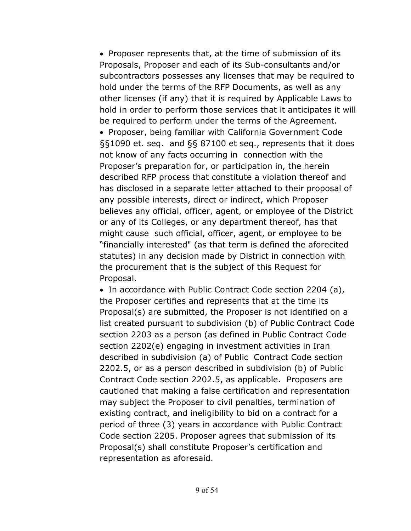• Proposer represents that, at the time of submission of its Proposals, Proposer and each of its Sub-consultants and/or subcontractors possesses any licenses that may be required to hold under the terms of the RFP Documents, as well as any other licenses (if any) that it is required by Applicable Laws to hold in order to perform those services that it anticipates it will be required to perform under the terms of the Agreement. • Proposer, being familiar with California Government Code §§1090 et. seq. and §§ 87100 et seq., represents that it does not know of any facts occurring in connection with the Proposer's preparation for, or participation in, the herein described RFP process that constitute a violation thereof and has disclosed in a separate letter attached to their proposal of any possible interests, direct or indirect, which Proposer believes any official, officer, agent, or employee of the District or any of its Colleges, or any department thereof, has that might cause such official, officer, agent, or employee to be "financially interested" (as that term is defined the aforecited statutes) in any decision made by District in connection with the procurement that is the subject of this Request for Proposal.

• In accordance with Public Contract Code section 2204 (a), the Proposer certifies and represents that at the time its Proposal(s) are submitted, the Proposer is not identified on a list created pursuant to subdivision (b) of Public Contract Code section 2203 as a person (as defined in Public Contract Code section 2202(e) engaging in investment activities in Iran described in subdivision (a) of Public Contract Code section 2202.5, or as a person described in subdivision (b) of Public Contract Code section 2202.5, as applicable. Proposers are cautioned that making a false certification and representation may subject the Proposer to civil penalties, termination of existing contract, and ineligibility to bid on a contract for a period of three (3) years in accordance with Public Contract Code section 2205. Proposer agrees that submission of its Proposal(s) shall constitute Proposer's certification and representation as aforesaid.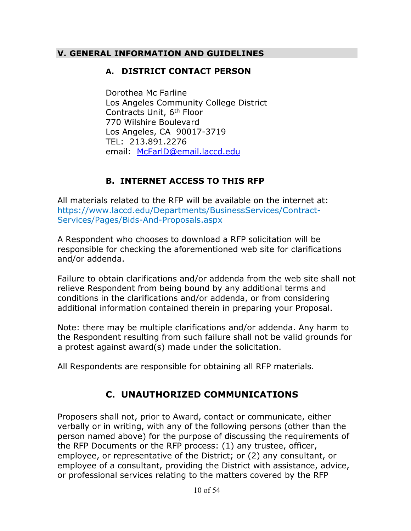#### **V. GENERAL INFORMATION AND GUIDELINES**

### **A. DISTRICT CONTACT PERSON**

Dorothea Mc Farline Los Angeles Community College District Contracts Unit, 6th Floor 770 Wilshire Boulevard Los Angeles, CA 90017-3719 TEL: 213.891.2276 email: [McFarlD@email.laccd.edu](mailto:McFarlD@email.laccd.edu)

### **B. INTERNET ACCESS TO THIS RFP**

All materials related to the RFP will be available on the internet at: https://www.laccd.edu/Departments/BusinessServices/Contract-Services/Pages/Bids-And-Proposals.aspx

A Respondent who chooses to download a RFP solicitation will be responsible for checking the aforementioned web site for clarifications and/or addenda.

Failure to obtain clarifications and/or addenda from the web site shall not relieve Respondent from being bound by any additional terms and conditions in the clarifications and/or addenda, or from considering additional information contained therein in preparing your Proposal.

Note: there may be multiple clarifications and/or addenda. Any harm to the Respondent resulting from such failure shall not be valid grounds for a protest against award(s) made under the solicitation.

All Respondents are responsible for obtaining all RFP materials.

## **C. UNAUTHORIZED COMMUNICATIONS**

Proposers shall not, prior to Award, contact or communicate, either verbally or in writing, with any of the following persons (other than the person named above) for the purpose of discussing the requirements of the RFP Documents or the RFP process: (1) any trustee, officer, employee, or representative of the District; or (2) any consultant, or employee of a consultant, providing the District with assistance, advice, or professional services relating to the matters covered by the RFP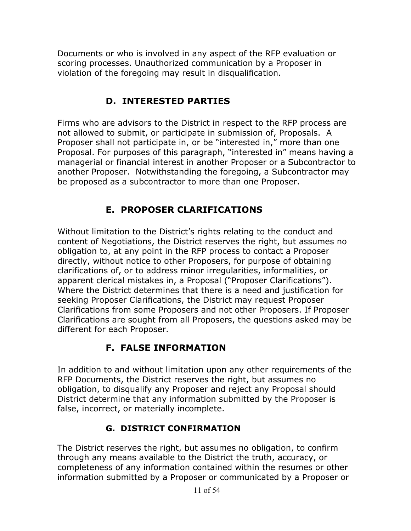Documents or who is involved in any aspect of the RFP evaluation or scoring processes. Unauthorized communication by a Proposer in violation of the foregoing may result in disqualification.

## **D. INTERESTED PARTIES**

Firms who are advisors to the District in respect to the RFP process are not allowed to submit, or participate in submission of, Proposals. A Proposer shall not participate in, or be "interested in," more than one Proposal. For purposes of this paragraph, "interested in" means having a managerial or financial interest in another Proposer or a Subcontractor to another Proposer. Notwithstanding the foregoing, a Subcontractor may be proposed as a subcontractor to more than one Proposer.

## **E. PROPOSER CLARIFICATIONS**

Without limitation to the District's rights relating to the conduct and content of Negotiations, the District reserves the right, but assumes no obligation to, at any point in the RFP process to contact a Proposer directly, without notice to other Proposers, for purpose of obtaining clarifications of, or to address minor irregularities, informalities, or apparent clerical mistakes in, a Proposal ("Proposer Clarifications"). Where the District determines that there is a need and justification for seeking Proposer Clarifications, the District may request Proposer Clarifications from some Proposers and not other Proposers. If Proposer Clarifications are sought from all Proposers, the questions asked may be different for each Proposer.

## **F. FALSE INFORMATION**

In addition to and without limitation upon any other requirements of the RFP Documents, the District reserves the right, but assumes no obligation, to disqualify any Proposer and reject any Proposal should District determine that any information submitted by the Proposer is false, incorrect, or materially incomplete.

## **G. DISTRICT CONFIRMATION**

The District reserves the right, but assumes no obligation, to confirm through any means available to the District the truth, accuracy, or completeness of any information contained within the resumes or other information submitted by a Proposer or communicated by a Proposer or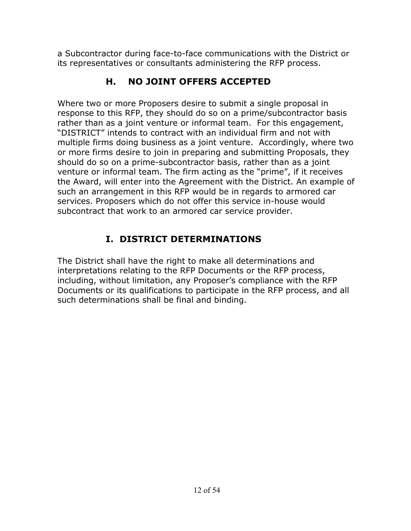a Subcontractor during face-to-face communications with the District or its representatives or consultants administering the RFP process.

## **H. NO JOINT OFFERS ACCEPTED**

Where two or more Proposers desire to submit a single proposal in response to this RFP, they should do so on a prime/subcontractor basis rather than as a joint venture or informal team. For this engagement, "DISTRICT" intends to contract with an individual firm and not with multiple firms doing business as a joint venture. Accordingly, where two or more firms desire to join in preparing and submitting Proposals, they should do so on a prime-subcontractor basis, rather than as a joint venture or informal team. The firm acting as the "prime", if it receives the Award, will enter into the Agreement with the District. An example of such an arrangement in this RFP would be in regards to armored car services. Proposers which do not offer this service in-house would subcontract that work to an armored car service provider.

## **I. DISTRICT DETERMINATIONS**

The District shall have the right to make all determinations and interpretations relating to the RFP Documents or the RFP process, including, without limitation, any Proposer's compliance with the RFP Documents or its qualifications to participate in the RFP process, and all such determinations shall be final and binding.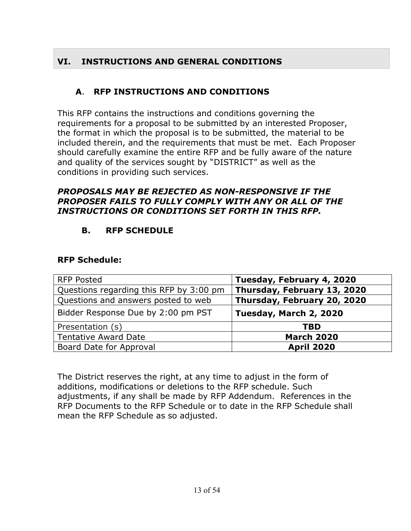## **VI. INSTRUCTIONS AND GENERAL CONDITIONS**

### **A**. **RFP INSTRUCTIONS AND CONDITIONS**

This RFP contains the instructions and conditions governing the requirements for a proposal to be submitted by an interested Proposer, the format in which the proposal is to be submitted, the material to be included therein, and the requirements that must be met. Each Proposer should carefully examine the entire RFP and be fully aware of the nature and quality of the services sought by "DISTRICT" as well as the conditions in providing such services.

#### *PROPOSALS MAY BE REJECTED AS NON-RESPONSIVE IF THE PROPOSER FAILS TO FULLY COMPLY WITH ANY OR ALL OF THE INSTRUCTIONS OR CONDITIONS SET FORTH IN THIS RFP.*

### **B. RFP SCHEDULE**

#### **RFP Schedule:**

| <b>RFP Posted</b>                       | Tuesday, February 4, 2020   |
|-----------------------------------------|-----------------------------|
| Questions regarding this RFP by 3:00 pm | Thursday, February 13, 2020 |
| Questions and answers posted to web     | Thursday, February 20, 2020 |
| Bidder Response Due by 2:00 pm PST      | Tuesday, March 2, 2020      |
| Presentation (s)                        | <b>TBD</b>                  |
| <b>Tentative Award Date</b>             | <b>March 2020</b>           |
| Board Date for Approval                 | <b>April 2020</b>           |

The District reserves the right, at any time to adjust in the form of additions, modifications or deletions to the RFP schedule. Such adjustments, if any shall be made by RFP Addendum. References in the RFP Documents to the RFP Schedule or to date in the RFP Schedule shall mean the RFP Schedule as so adjusted.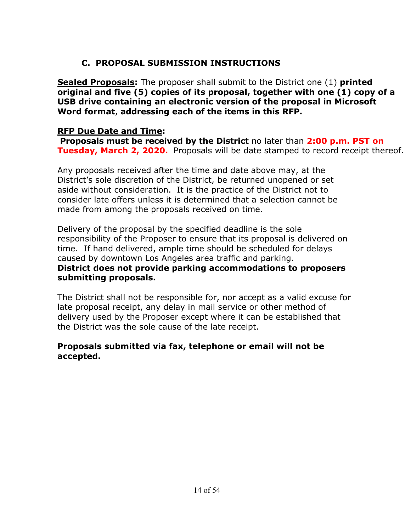### **C. PROPOSAL SUBMISSION INSTRUCTIONS**

**Sealed Proposals:** The proposer shall submit to the District one (1) **printed original and five (5) copies of its proposal, together with one (1) copy of a USB drive containing an electronic version of the proposal in Microsoft Word format**, **addressing each of the items in this RFP.**

### **RFP Due Date and Time:**

**Proposals must be received by the District** no later than **2:00 p.m. PST on Tuesday, March 2, 2020.** Proposals will be date stamped to record receipt thereof.

Any proposals received after the time and date above may, at the District's sole discretion of the District, be returned unopened or set aside without consideration. It is the practice of the District not to consider late offers unless it is determined that a selection cannot be made from among the proposals received on time.

Delivery of the proposal by the specified deadline is the sole responsibility of the Proposer to ensure that its proposal is delivered on time. If hand delivered, ample time should be scheduled for delays caused by downtown Los Angeles area traffic and parking. **District does not provide parking accommodations to proposers submitting proposals.**

The District shall not be responsible for, nor accept as a valid excuse for late proposal receipt, any delay in mail service or other method of delivery used by the Proposer except where it can be established that the District was the sole cause of the late receipt.

#### **Proposals submitted via fax, telephone or email will not be accepted.**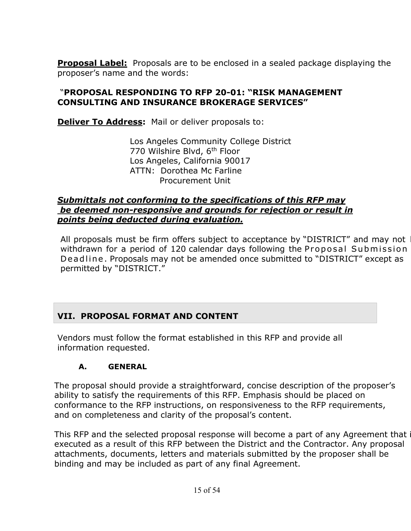**Proposal Label:** Proposals are to be enclosed in a sealed package displaying the proposer's name and the words:

#### "**PROPOSAL RESPONDING TO RFP 20-01: "RISK MANAGEMENT CONSULTING AND INSURANCE BROKERAGE SERVICES"**

**Deliver To Address:** Mail or deliver proposals to:

Los Angeles Community College District 770 Wilshire Blvd, 6th Floor Los Angeles, California 90017 ATTN: Dorothea Mc Farline Procurement Unit

#### *Submittals not conforming to the specifications of this RFP may be deemed non-responsive and grounds for rejection or result in points being deducted during evaluation.*

All proposals must be firm offers subject to acceptance by "DISTRICT" and may not withdrawn for a period of 120 calendar days following the Proposal Submission Deadline. Proposals may not be amended once submitted to "DISTRICT" except as permitted by "DISTRICT."

### **VII. PROPOSAL FORMAT AND CONTENT**

Vendors must follow the format established in this RFP and provide all information requested.

### **A. GENERAL**

The proposal should provide a straightforward, concise description of the proposer's ability to satisfy the requirements of this RFP. Emphasis should be placed on conformance to the RFP instructions, on responsiveness to the RFP requirements, and on completeness and clarity of the proposal's content.

This RFP and the selected proposal response will become a part of any Agreement that executed as a result of this RFP between the District and the Contractor. Any proposal attachments, documents, letters and materials submitted by the proposer shall be binding and may be included as part of any final Agreement.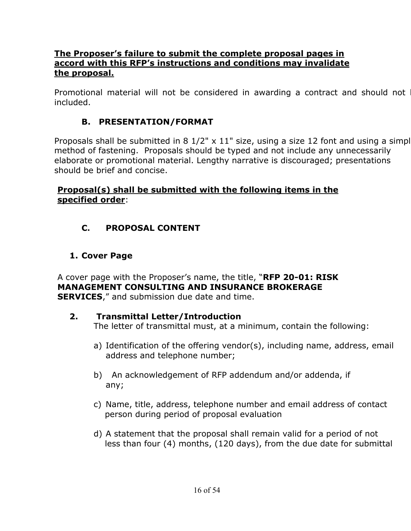#### **The Proposer's failure to submit the complete proposal pages in accord with this RFP's instructions and conditions may invalidate the proposal.**

Promotional material will not be considered in awarding a contract and should not included.

### **B. PRESENTATION/FORMAT**

Proposals shall be submitted in 8 1/2" x 11" size, using a size 12 font and using a simpl method of fastening. Proposals should be typed and not include any unnecessarily elaborate or promotional material. Lengthy narrative is discouraged; presentations should be brief and concise.

### **Proposal(s) shall be submitted with the following items in the specified order**:

## **C. PROPOSAL CONTENT**

### **1. Cover Page**

A cover page with the Proposer's name, the title, "**RFP 20-01: RISK MANAGEMENT CONSULTING AND INSURANCE BROKERAGE SERVICES**," and submission due date and time.

### **2. Transmittal Letter/Introduction**

The letter of transmittal must, at a minimum, contain the following:

- a) Identification of the offering vendor(s), including name, address, email address and telephone number;
- b) An acknowledgement of RFP addendum and/or addenda, if any;
- c) Name, title, address, telephone number and email address of contact person during period of proposal evaluation
- d) A statement that the proposal shall remain valid for a period of not less than four (4) months, (120 days), from the due date for submittal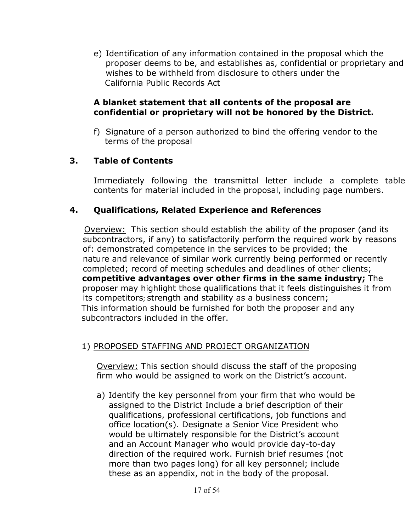e) Identification of any information contained in the proposal which the proposer deems to be, and establishes as, confidential or proprietary and wishes to be withheld from disclosure to others under the California Public Records Act

#### **A blanket statement that all contents of the proposal are confidential or proprietary will not be honored by the District.**

f) Signature of a person authorized to bind the offering vendor to the terms of the proposal

### **3. Table of Contents**

Immediately following the transmittal letter include a complete table contents for material included in the proposal, including page numbers.

### **4. Qualifications, Related Experience and References**

Overview: This section should establish the ability of the proposer (and its subcontractors, if any) to satisfactorily perform the required work by reasons of: demonstrated competence in the services to be provided; the nature and relevance of similar work currently being performed or recently completed; record of meeting schedules and deadlines of other clients;  **competitive advantages over other firms in the same industry;** The proposer may highlight those qualifications that it feels distinguishes it from its competitors; strength and stability as a business concern; This information should be furnished for both the proposer and any subcontractors included in the offer.

### 1) PROPOSED STAFFING AND PROJECT ORGANIZATION

Overview: This section should discuss the staff of the proposing firm who would be assigned to work on the District's account.

a) Identify the key personnel from your firm that who would be assigned to the District Include a brief description of their qualifications, professional certifications, job functions and office location(s). Designate a Senior Vice President who would be ultimately responsible for the District's account and an Account Manager who would provide day-to-day direction of the required work. Furnish brief resumes (not more than two pages long) for all key personnel; include these as an appendix, not in the body of the proposal.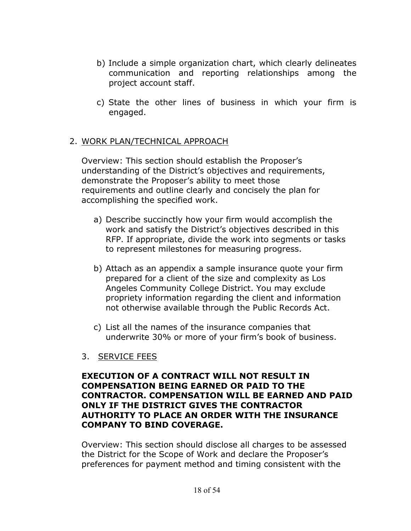- b) Include a simple organization chart, which clearly delineates communication and reporting relationships among the project account staff.
- c) State the other lines of business in which your firm is engaged.

#### 2. WORK PLAN/TECHNICAL APPROACH

Overview: This section should establish the Proposer's understanding of the District's objectives and requirements, demonstrate the Proposer's ability to meet those requirements and outline clearly and concisely the plan for accomplishing the specified work.

- a) Describe succinctly how your firm would accomplish the work and satisfy the District's objectives described in this RFP. If appropriate, divide the work into segments or tasks to represent milestones for measuring progress.
- b) Attach as an appendix a sample insurance quote your firm prepared for a client of the size and complexity as Los Angeles Community College District. You may exclude propriety information regarding the client and information not otherwise available through the Public Records Act.
- c) List all the names of the insurance companies that underwrite 30% or more of your firm's book of business.

### 3. SERVICE FEES

#### **EXECUTION OF A CONTRACT WILL NOT RESULT IN COMPENSATION BEING EARNED OR PAID TO THE CONTRACTOR. COMPENSATION WILL BE EARNED AND PAID ONLY IF THE DISTRICT GIVES THE CONTRACTOR AUTHORITY TO PLACE AN ORDER WITH THE INSURANCE COMPANY TO BIND COVERAGE.**

Overview: This section should disclose all charges to be assessed the District for the Scope of Work and declare the Proposer's preferences for payment method and timing consistent with the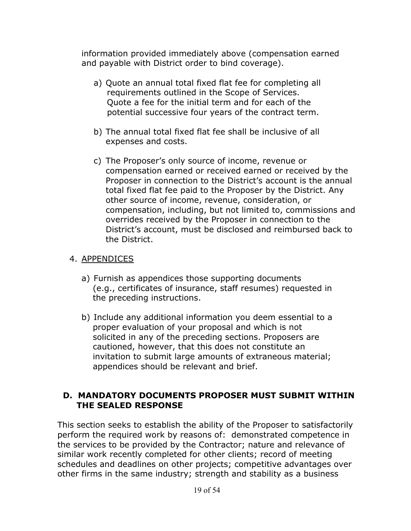information provided immediately above (compensation earned and payable with District order to bind coverage).

- a) Quote an annual total fixed flat fee for completing all requirements outlined in the Scope of Services. Quote a fee for the initial term and for each of the potential successive four years of the contract term.
- b) The annual total fixed flat fee shall be inclusive of all expenses and costs.
- c) The Proposer's only source of income, revenue or compensation earned or received earned or received by the Proposer in connection to the District's account is the annual total fixed flat fee paid to the Proposer by the District. Any other source of income, revenue, consideration, or compensation, including, but not limited to, commissions and overrides received by the Proposer in connection to the District's account, must be disclosed and reimbursed back to the District.

### 4. APPENDICES

- a) Furnish as appendices those supporting documents (e.g., certificates of insurance, staff resumes) requested in the preceding instructions.
- b) Include any additional information you deem essential to a proper evaluation of your proposal and which is not solicited in any of the preceding sections. Proposers are cautioned, however, that this does not constitute an invitation to submit large amounts of extraneous material; appendices should be relevant and brief.

#### **D. MANDATORY DOCUMENTS PROPOSER MUST SUBMIT WITHIN THE SEALED RESPONSE**

This section seeks to establish the ability of the Proposer to satisfactorily perform the required work by reasons of: demonstrated competence in the services to be provided by the Contractor; nature and relevance of similar work recently completed for other clients; record of meeting schedules and deadlines on other projects; competitive advantages over other firms in the same industry; strength and stability as a business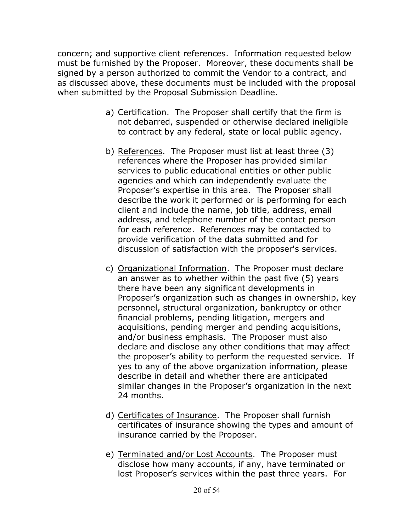concern; and supportive client references. Information requested below must be furnished by the Proposer. Moreover, these documents shall be signed by a person authorized to commit the Vendor to a contract, and as discussed above, these documents must be included with the proposal when submitted by the Proposal Submission Deadline.

- a) Certification. The Proposer shall certify that the firm is not debarred, suspended or otherwise declared ineligible to contract by any federal, state or local public agency.
- b) References. The Proposer must list at least three (3) references where the Proposer has provided similar services to public educational entities or other public agencies and which can independently evaluate the Proposer's expertise in this area. The Proposer shall describe the work it performed or is performing for each client and include the name, job title, address, email address, and telephone number of the contact person for each reference. References may be contacted to provide verification of the data submitted and for discussion of satisfaction with the proposer's services.
- c) Organizational Information. The Proposer must declare an answer as to whether within the past five (5) years there have been any significant developments in Proposer's organization such as changes in ownership, key personnel, structural organization, bankruptcy or other financial problems, pending litigation, mergers and acquisitions, pending merger and pending acquisitions, and/or business emphasis. The Proposer must also declare and disclose any other conditions that may affect the proposer's ability to perform the requested service. If yes to any of the above organization information, please describe in detail and whether there are anticipated similar changes in the Proposer's organization in the next 24 months.
- d) Certificates of Insurance. The Proposer shall furnish certificates of insurance showing the types and amount of insurance carried by the Proposer.
- e) Terminated and/or Lost Accounts. The Proposer must disclose how many accounts, if any, have terminated or lost Proposer's services within the past three years. For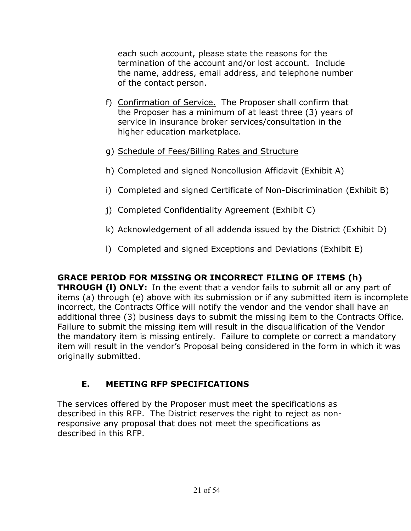each such account, please state the reasons for the termination of the account and/or lost account. Include the name, address, email address, and telephone number of the contact person.

- f) Confirmation of Service. The Proposer shall confirm that the Proposer has a minimum of at least three (3) years of service in insurance broker services/consultation in the higher education marketplace.
- g) Schedule of Fees/Billing Rates and Structure
- h) Completed and signed Noncollusion Affidavit (Exhibit A)
- i) Completed and signed Certificate of Non-Discrimination (Exhibit B)
- j) Completed Confidentiality Agreement (Exhibit C)
- k) Acknowledgement of all addenda issued by the District (Exhibit D)
- l) Completed and signed Exceptions and Deviations (Exhibit E)

## **GRACE PERIOD FOR MISSING OR INCORRECT FILING OF ITEMS (h)**

**THROUGH (l) ONLY:** In the event that a vendor fails to submit all or any part of items (a) through (e) above with its submission or if any submitted item is incomplete incorrect, the Contracts Office will notify the vendor and the vendor shall have an additional three (3) business days to submit the missing item to the Contracts Office. Failure to submit the missing item will result in the disqualification of the Vendor the mandatory item is missing entirely. Failure to complete or correct a mandatory item will result in the vendor's Proposal being considered in the form in which it was originally submitted.

## **E. MEETING RFP SPECIFICATIONS**

The services offered by the Proposer must meet the specifications as described in this RFP. The District reserves the right to reject as nonresponsive any proposal that does not meet the specifications as described in this RFP.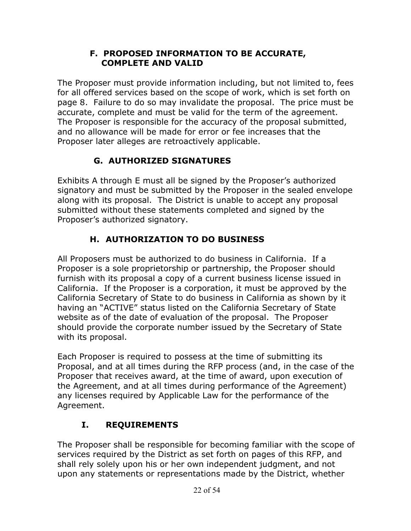### **F. PROPOSED INFORMATION TO BE ACCURATE, COMPLETE AND VALID**

The Proposer must provide information including, but not limited to, fees for all offered services based on the scope of work, which is set forth on page 8. Failure to do so may invalidate the proposal. The price must be accurate, complete and must be valid for the term of the agreement. The Proposer is responsible for the accuracy of the proposal submitted, and no allowance will be made for error or fee increases that the Proposer later alleges are retroactively applicable.

## **G. AUTHORIZED SIGNATURES**

Exhibits A through E must all be signed by the Proposer's authorized signatory and must be submitted by the Proposer in the sealed envelope along with its proposal. The District is unable to accept any proposal submitted without these statements completed and signed by the Proposer's authorized signatory.

## **H. AUTHORIZATION TO DO BUSINESS**

All Proposers must be authorized to do business in California. If a Proposer is a sole proprietorship or partnership, the Proposer should furnish with its proposal a copy of a current business license issued in California. If the Proposer is a corporation, it must be approved by the California Secretary of State to do business in California as shown by it having an "ACTIVE" status listed on the California Secretary of State website as of the date of evaluation of the proposal. The Proposer should provide the corporate number issued by the Secretary of State with its proposal.

Each Proposer is required to possess at the time of submitting its Proposal, and at all times during the RFP process (and, in the case of the Proposer that receives award, at the time of award, upon execution of the Agreement, and at all times during performance of the Agreement) any licenses required by Applicable Law for the performance of the Agreement.

## **I. REQUIREMENTS**

The Proposer shall be responsible for becoming familiar with the scope of services required by the District as set forth on pages of this RFP, and shall rely solely upon his or her own independent judgment, and not upon any statements or representations made by the District, whether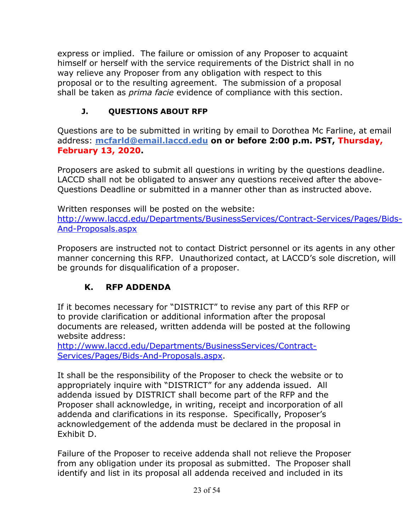express or implied. The failure or omission of any Proposer to acquaint himself or herself with the service requirements of the District shall in no way relieve any Proposer from any obligation with respect to this proposal or to the resulting agreement. The submission of a proposal shall be taken as *prima facie* evidence of compliance with this section.

### **J. QUESTIONS ABOUT RFP**

Questions are to be submitted in writing by email to Dorothea Mc Farline, at email address: **mcfarld@email.laccd.edu on or before 2:00 p.m. PST, Thursday, February 13, 2020.**

Proposers are asked to submit all questions in writing by the questions deadline. LACCD shall not be obligated to answer any questions received after the above-Questions Deadline or submitted in a manner other than as instructed above.

Written responses will be posted on the website:

[http://www.laccd.edu/Departments/BusinessServices/Contract-Services/Pages/Bids-](http://www.laccd.edu/Departments/BusinessServices/Contract-Services/Pages/Bids-And-Proposals.aspx)[And-Proposals.aspx](http://www.laccd.edu/Departments/BusinessServices/Contract-Services/Pages/Bids-And-Proposals.aspx)

Proposers are instructed not to contact District personnel or its agents in any other manner concerning this RFP. Unauthorized contact, at LACCD's sole discretion, will be grounds for disqualification of a proposer.

## **K. RFP ADDENDA**

If it becomes necessary for "DISTRICT" to revise any part of this RFP or to provide clarification or additional information after the proposal documents are released, written addenda will be posted at the following website address:

[http://www.laccd.edu/Departments/BusinessServices/Contract-](http://www.laccd.edu/Departments/BusinessServices/Contract-Services/Pages/Bids-And-Proposals.aspx)[Services/Pages/Bids-And-Proposals.aspx.](http://www.laccd.edu/Departments/BusinessServices/Contract-Services/Pages/Bids-And-Proposals.aspx)

It shall be the responsibility of the Proposer to check the website or to appropriately inquire with "DISTRICT" for any addenda issued. All addenda issued by DISTRICT shall become part of the RFP and the Proposer shall acknowledge, in writing, receipt and incorporation of all addenda and clarifications in its response. Specifically, Proposer's acknowledgement of the addenda must be declared in the proposal in Exhibit D.

Failure of the Proposer to receive addenda shall not relieve the Proposer from any obligation under its proposal as submitted. The Proposer shall identify and list in its proposal all addenda received and included in its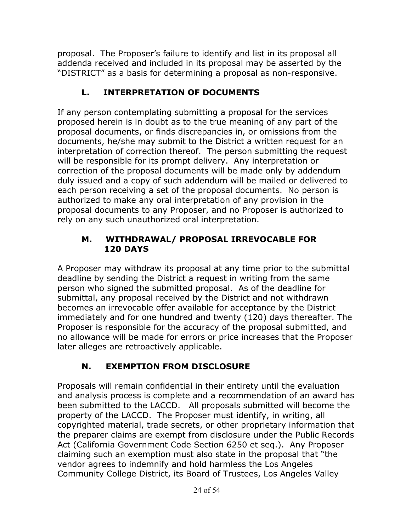proposal. The Proposer's failure to identify and list in its proposal all addenda received and included in its proposal may be asserted by the "DISTRICT" as a basis for determining a proposal as non-responsive.

## **L. INTERPRETATION OF DOCUMENTS**

If any person contemplating submitting a proposal for the services proposed herein is in doubt as to the true meaning of any part of the proposal documents, or finds discrepancies in, or omissions from the documents, he/she may submit to the District a written request for an interpretation of correction thereof. The person submitting the request will be responsible for its prompt delivery. Any interpretation or correction of the proposal documents will be made only by addendum duly issued and a copy of such addendum will be mailed or delivered to each person receiving a set of the proposal documents. No person is authorized to make any oral interpretation of any provision in the proposal documents to any Proposer, and no Proposer is authorized to rely on any such unauthorized oral interpretation.

### **M. WITHDRAWAL/ PROPOSAL IRREVOCABLE FOR 120 DAYS**

A Proposer may withdraw its proposal at any time prior to the submittal deadline by sending the District a request in writing from the same person who signed the submitted proposal. As of the deadline for submittal, any proposal received by the District and not withdrawn becomes an irrevocable offer available for acceptance by the District immediately and for one hundred and twenty (120) days thereafter. The Proposer is responsible for the accuracy of the proposal submitted, and no allowance will be made for errors or price increases that the Proposer later alleges are retroactively applicable.

## **N. EXEMPTION FROM DISCLOSURE**

Proposals will remain confidential in their entirety until the evaluation and analysis process is complete and a recommendation of an award has been submitted to the LACCD. All proposals submitted will become the property of the LACCD. The Proposer must identify, in writing, all copyrighted material, trade secrets, or other proprietary information that the preparer claims are exempt from disclosure under the Public Records Act (California Government Code Section 6250 et seq.). Any Proposer claiming such an exemption must also state in the proposal that "the vendor agrees to indemnify and hold harmless the Los Angeles Community College District, its Board of Trustees, Los Angeles Valley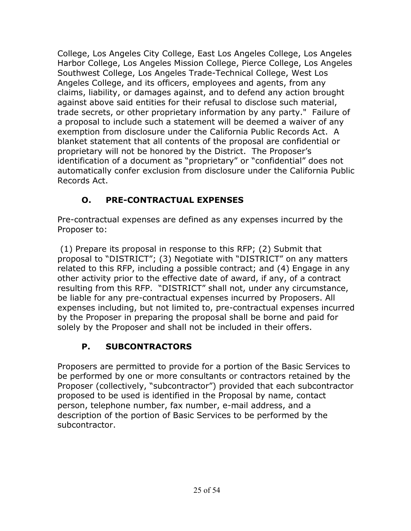College, Los Angeles City College, East Los Angeles College, Los Angeles Harbor College, Los Angeles Mission College, Pierce College, Los Angeles Southwest College, Los Angeles Trade-Technical College, West Los Angeles College, and its officers, employees and agents, from any claims, liability, or damages against, and to defend any action brought against above said entities for their refusal to disclose such material, trade secrets, or other proprietary information by any party." Failure of a proposal to include such a statement will be deemed a waiver of any exemption from disclosure under the California Public Records Act. A blanket statement that all contents of the proposal are confidential or proprietary will not be honored by the District. The Proposer's identification of a document as "proprietary" or "confidential" does not automatically confer exclusion from disclosure under the California Public Records Act.

## **O. PRE-CONTRACTUAL EXPENSES**

Pre-contractual expenses are defined as any expenses incurred by the Proposer to:

(1) Prepare its proposal in response to this RFP; (2) Submit that proposal to "DISTRICT"; (3) Negotiate with "DISTRICT" on any matters related to this RFP, including a possible contract; and (4) Engage in any other activity prior to the effective date of award, if any, of a contract resulting from this RFP. "DISTRICT" shall not, under any circumstance, be liable for any pre-contractual expenses incurred by Proposers. All expenses including, but not limited to, pre-contractual expenses incurred by the Proposer in preparing the proposal shall be borne and paid for solely by the Proposer and shall not be included in their offers.

## **P. SUBCONTRACTORS**

Proposers are permitted to provide for a portion of the Basic Services to be performed by one or more consultants or contractors retained by the Proposer (collectively, "subcontractor") provided that each subcontractor proposed to be used is identified in the Proposal by name, contact person, telephone number, fax number, e-mail address, and a description of the portion of Basic Services to be performed by the subcontractor.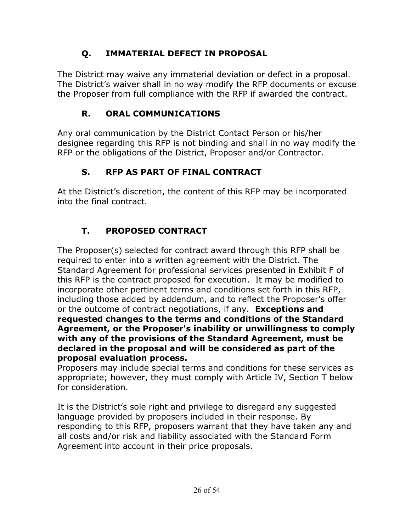## **Q. IMMATERIAL DEFECT IN PROPOSAL**

The District may waive any immaterial deviation or defect in a proposal. The District's waiver shall in no way modify the RFP documents or excuse the Proposer from full compliance with the RFP if awarded the contract.

## **R. ORAL COMMUNICATIONS**

Any oral communication by the District Contact Person or his/her designee regarding this RFP is not binding and shall in no way modify the RFP or the obligations of the District, Proposer and/or Contractor.

## **S. RFP AS PART OF FINAL CONTRACT**

At the District's discretion, the content of this RFP may be incorporated into the final contract.

## **T. PROPOSED CONTRACT**

The Proposer(s) selected for contract award through this RFP shall be required to enter into a written agreement with the District. The Standard Agreement for professional services presented in Exhibit F of this RFP is the contract proposed for execution. It may be modified to incorporate other pertinent terms and conditions set forth in this RFP, including those added by addendum, and to reflect the Proposer's offer or the outcome of contract negotiations, if any. **Exceptions and requested changes to the terms and conditions of the Standard Agreement, or the Proposer's inability or unwillingness to comply with any of the provisions of the Standard Agreement, must be declared in the proposal and will be considered as part of the proposal evaluation process.** 

Proposers may include special terms and conditions for these services as appropriate; however, they must comply with Article IV, Section T below for consideration.

It is the District's sole right and privilege to disregard any suggested language provided by proposers included in their response. By responding to this RFP, proposers warrant that they have taken any and all costs and/or risk and liability associated with the Standard Form Agreement into account in their price proposals.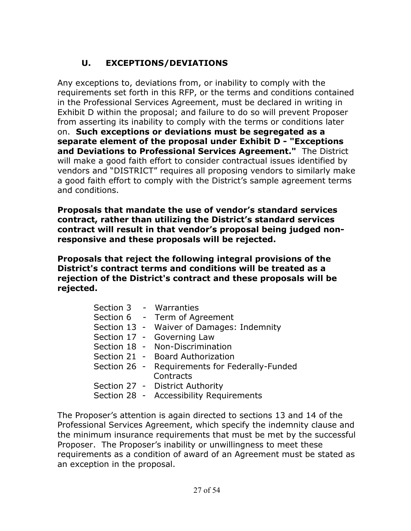## **U. EXCEPTIONS/DEVIATIONS**

Any exceptions to, deviations from, or inability to comply with the requirements set forth in this RFP, or the terms and conditions contained in the Professional Services Agreement, must be declared in writing in Exhibit D within the proposal; and failure to do so will prevent Proposer from asserting its inability to comply with the terms or conditions later on. **Such exceptions or deviations must be segregated as a separate element of the proposal under Exhibit D - "Exceptions and Deviations to Professional Services Agreement."** The District will make a good faith effort to consider contractual issues identified by vendors and "DISTRICT" requires all proposing vendors to similarly make a good faith effort to comply with the District's sample agreement terms and conditions.

**Proposals that mandate the use of vendor's standard services contract, rather than utilizing the District's standard services contract will result in that vendor's proposal being judged nonresponsive and these proposals will be rejected.** 

**Proposals that reject the following integral provisions of the District's contract terms and conditions will be treated as a rejection of the District's contract and these proposals will be rejected.**

|  | Section 3 - Warranties                         |
|--|------------------------------------------------|
|  | Section 6 - Term of Agreement                  |
|  | Section 13 - Waiver of Damages: Indemnity      |
|  | Section 17 - Governing Law                     |
|  | Section 18 - Non-Discrimination                |
|  | Section 21 - Board Authorization               |
|  | Section 26 - Requirements for Federally-Funded |
|  | Contracts                                      |
|  | Section 27 - District Authority                |
|  | Section 28 - Accessibility Requirements        |
|  |                                                |

The Proposer's attention is again directed to sections 13 and 14 of the Professional Services Agreement, which specify the indemnity clause and the minimum insurance requirements that must be met by the successful Proposer. The Proposer's inability or unwillingness to meet these requirements as a condition of award of an Agreement must be stated as an exception in the proposal.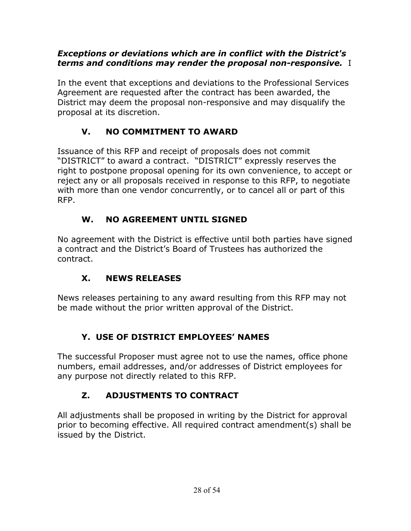### *Exceptions or deviations which are in conflict with the District's terms and conditions may render the proposal non-responsive.* I

In the event that exceptions and deviations to the Professional Services Agreement are requested after the contract has been awarded, the District may deem the proposal non-responsive and may disqualify the proposal at its discretion.

## **V. NO COMMITMENT TO AWARD**

Issuance of this RFP and receipt of proposals does not commit "DISTRICT" to award a contract. "DISTRICT" expressly reserves the right to postpone proposal opening for its own convenience, to accept or reject any or all proposals received in response to this RFP, to negotiate with more than one vendor concurrently, or to cancel all or part of this RFP.

## **W. NO AGREEMENT UNTIL SIGNED**

No agreement with the District is effective until both parties have signed a contract and the District's Board of Trustees has authorized the contract.

## **X. NEWS RELEASES**

News releases pertaining to any award resulting from this RFP may not be made without the prior written approval of the District.

## **Y. USE OF DISTRICT EMPLOYEES' NAMES**

The successful Proposer must agree not to use the names, office phone numbers, email addresses, and/or addresses of District employees for any purpose not directly related to this RFP.

## **Z. ADJUSTMENTS TO CONTRACT**

All adjustments shall be proposed in writing by the District for approval prior to becoming effective. All required contract amendment(s) shall be issued by the District.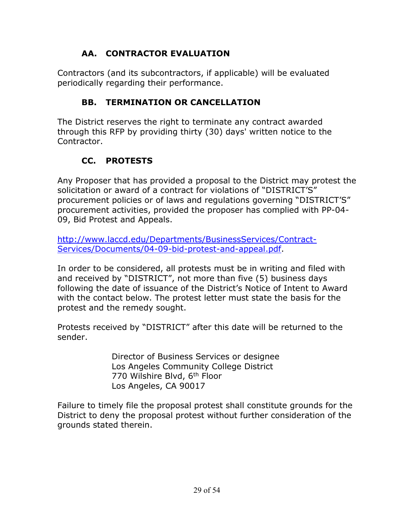### **AA. CONTRACTOR EVALUATION**

Contractors (and its subcontractors, if applicable) will be evaluated periodically regarding their performance.

## **BB. TERMINATION OR CANCELLATION**

The District reserves the right to terminate any contract awarded through this RFP by providing thirty (30) days' written notice to the Contractor.

## **CC. PROTESTS**

Any Proposer that has provided a proposal to the District may protest the solicitation or award of a contract for violations of "DISTRICT'S" procurement policies or of laws and regulations governing "DISTRICT'S" procurement activities, provided the proposer has complied with PP-04- 09, Bid Protest and Appeals.

[http://www.laccd.edu/Departments/BusinessServices/Contract-](http://www.laccd.edu/Departments/BusinessServices/Contract-Services/Documents/04-09-bid-protest-and-appeal.pdf)[Services/Documents/04-09-bid-protest-and-appeal.pdf.](http://www.laccd.edu/Departments/BusinessServices/Contract-Services/Documents/04-09-bid-protest-and-appeal.pdf)

In order to be considered, all protests must be in writing and filed with and received by "DISTRICT", not more than five (5) business days following the date of issuance of the District's Notice of Intent to Award with the contact below. The protest letter must state the basis for the protest and the remedy sought.

Protests received by "DISTRICT" after this date will be returned to the sender.

> Director of Business Services or designee Los Angeles Community College District 770 Wilshire Blvd, 6<sup>th</sup> Floor Los Angeles, CA 90017

Failure to timely file the proposal protest shall constitute grounds for the District to deny the proposal protest without further consideration of the grounds stated therein.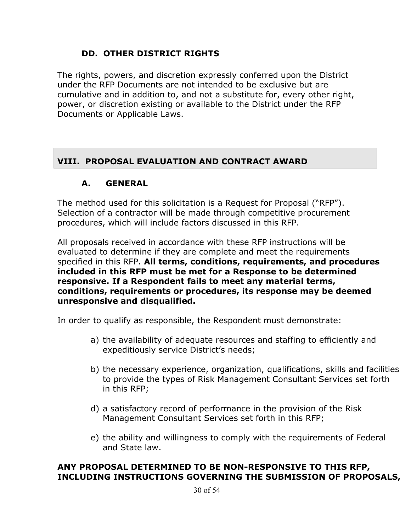### **DD. OTHER DISTRICT RIGHTS**

The rights, powers, and discretion expressly conferred upon the District under the RFP Documents are not intended to be exclusive but are cumulative and in addition to, and not a substitute for, every other right, power, or discretion existing or available to the District under the RFP Documents or Applicable Laws.

### **VIII. PROPOSAL EVALUATION AND CONTRACT AWARD**

### **A. GENERAL**

The method used for this solicitation is a Request for Proposal ("RFP"). Selection of a contractor will be made through competitive procurement procedures, which will include factors discussed in this RFP.

All proposals received in accordance with these RFP instructions will be evaluated to determine if they are complete and meet the requirements specified in this RFP. **All terms, conditions, requirements, and procedures included in this RFP must be met for a Response to be determined responsive. If a Respondent fails to meet any material terms, conditions, requirements or procedures, its response may be deemed unresponsive and disqualified.** 

In order to qualify as responsible, the Respondent must demonstrate:

- a) the availability of adequate resources and staffing to efficiently and expeditiously service District's needs;
- b) the necessary experience, organization, qualifications, skills and facilities to provide the types of Risk Management Consultant Services set forth in this RFP;
- d) a satisfactory record of performance in the provision of the Risk Management Consultant Services set forth in this RFP;
- e) the ability and willingness to comply with the requirements of Federal and State law.

#### **ANY PROPOSAL DETERMINED TO BE NON-RESPONSIVE TO THIS RFP, INCLUDING INSTRUCTIONS GOVERNING THE SUBMISSION OF PROPOSALS,**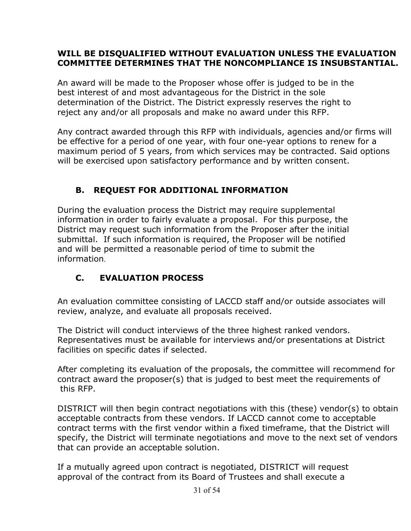### **WILL BE DISQUALIFIED WITHOUT EVALUATION UNLESS THE EVALUATION COMMITTEE DETERMINES THAT THE NONCOMPLIANCE IS INSUBSTANTIAL.**

An award will be made to the Proposer whose offer is judged to be in the best interest of and most advantageous for the District in the sole determination of the District. The District expressly reserves the right to reject any and/or all proposals and make no award under this RFP.

Any contract awarded through this RFP with individuals, agencies and/or firms will be effective for a period of one year, with four one-year options to renew for a maximum period of 5 years, from which services may be contracted. Said options will be exercised upon satisfactory performance and by written consent.

## **B. REQUEST FOR ADDITIONAL INFORMATION**

During the evaluation process the District may require supplemental information in order to fairly evaluate a proposal. For this purpose, the District may request such information from the Proposer after the initial submittal. If such information is required, the Proposer will be notified and will be permitted a reasonable period of time to submit the information.

## **C. EVALUATION PROCESS**

An evaluation committee consisting of LACCD staff and/or outside associates will review, analyze, and evaluate all proposals received.

The District will conduct interviews of the three highest ranked vendors. Representatives must be available for interviews and/or presentations at District facilities on specific dates if selected.

After completing its evaluation of the proposals, the committee will recommend for contract award the proposer(s) that is judged to best meet the requirements of this RFP.

DISTRICT will then begin contract negotiations with this (these) vendor(s) to obtain acceptable contracts from these vendors. If LACCD cannot come to acceptable contract terms with the first vendor within a fixed timeframe, that the District will specify, the District will terminate negotiations and move to the next set of vendors that can provide an acceptable solution.

If a mutually agreed upon contract is negotiated, DISTRICT will request approval of the contract from its Board of Trustees and shall execute a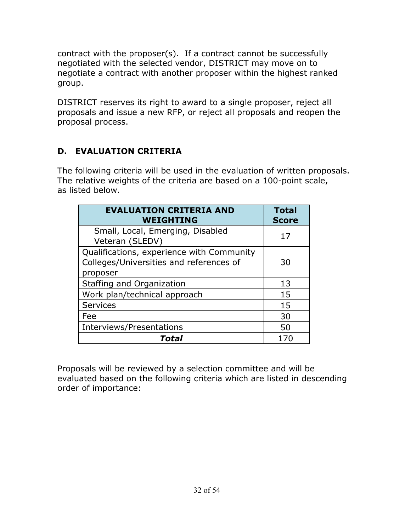contract with the proposer(s). If a contract cannot be successfully negotiated with the selected vendor, DISTRICT may move on to negotiate a contract with another proposer within the highest ranked group.

DISTRICT reserves its right to award to a single proposer, reject all proposals and issue a new RFP, or reject all proposals and reopen the proposal process.

### **D. EVALUATION CRITERIA**

The following criteria will be used in the evaluation of written proposals. The relative weights of the criteria are based on a 100-point scale, as listed below.

| <b>EVALUATION CRITERIA AND</b><br><b>WEIGHTING</b>                                               | <b>Total</b><br><b>Score</b> |
|--------------------------------------------------------------------------------------------------|------------------------------|
| Small, Local, Emerging, Disabled<br>Veteran (SLEDV)                                              | 17                           |
| Qualifications, experience with Community<br>Colleges/Universities and references of<br>proposer | 30                           |
| Staffing and Organization                                                                        | 13                           |
| Work plan/technical approach                                                                     | 15                           |
| <b>Services</b>                                                                                  | 15                           |
| Fee                                                                                              | 30                           |
| Interviews/Presentations                                                                         | 50                           |
| <b>Total</b>                                                                                     |                              |

Proposals will be reviewed by a selection committee and will be evaluated based on the following criteria which are listed in descending order of importance: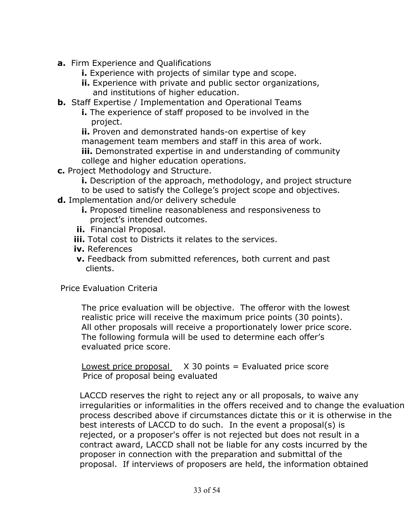- **a.** Firm Experience and Qualifications
	- **i.** Experience with projects of similar type and scope.
	- **ii.** Experience with private and public sector organizations, and institutions of higher education.
- **b.** Staff Expertise / Implementation and Operational Teams
	- **i.** The experience of staff proposed to be involved in the project.

**ii.** Proven and demonstrated hands-on expertise of key management team members and staff in this area of work. **iii.** Demonstrated expertise in and understanding of community college and higher education operations.

**c.** Project Methodology and Structure.

**i.** Description of the approach, methodology, and project structure to be used to satisfy the College's project scope and objectives.

- **d.** Implementation and/or delivery schedule
	- **i.** Proposed timeline reasonableness and responsiveness to project's intended outcomes.
	- **ii.** Financial Proposal.
	- **iii.** Total cost to Districts it relates to the services.
	- **iv.** References
	- **v.** Feedback from submitted references, both current and past clients.

### Price Evaluation Criteria

The price evaluation will be objective. The offeror with the lowest realistic price will receive the maximum price points (30 points). All other proposals will receive a proportionately lower price score. The following formula will be used to determine each offer's evaluated price score.

Lowest price proposal  $X$  30 points = Evaluated price score Price of proposal being evaluated

LACCD reserves the right to reject any or all proposals, to waive any irregularities or informalities in the offers received and to change the evaluation process described above if circumstances dictate this or it is otherwise in the best interests of LACCD to do such. In the event a proposal(s) is rejected, or a proposer's offer is not rejected but does not result in a contract award, LACCD shall not be liable for any costs incurred by the proposer in connection with the preparation and submittal of the proposal. If interviews of proposers are held, the information obtained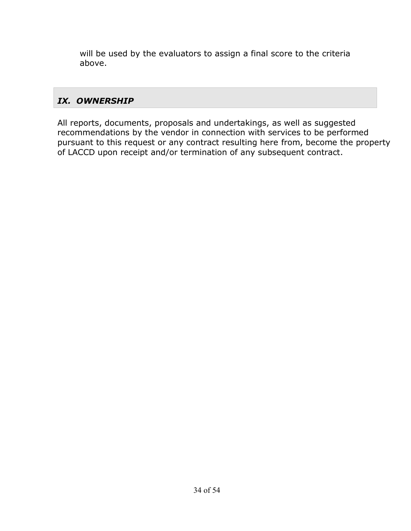will be used by the evaluators to assign a final score to the criteria above.

### *IX. OWNERSHIP*

All reports, documents, proposals and undertakings, as well as suggested recommendations by the vendor in connection with services to be performed pursuant to this request or any contract resulting here from, become the property of LACCD upon receipt and/or termination of any subsequent contract.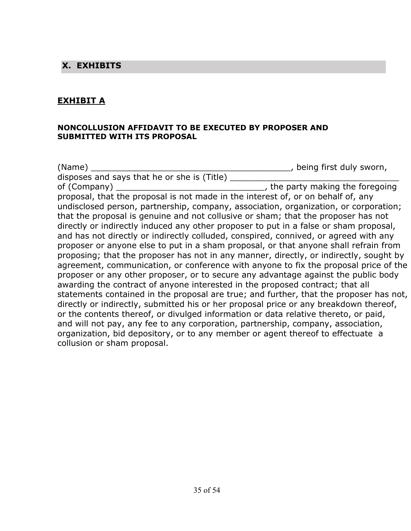#### **X. EXHIBITS**

### **EXHIBIT A**

#### **NONCOLLUSION AFFIDAVIT TO BE EXECUTED BY PROPOSER AND SUBMITTED WITH ITS PROPOSAL**

(Name) and the contract of the contract of the contract of the contract of the contract of the contract of the contract of the contract of the contract of the contract of the contract of the contract of the contract of the disposes and says that he or she is (Title) of (Company) of  $($ Company $)$ proposal, that the proposal is not made in the interest of, or on behalf of, any undisclosed person, partnership, company, association, organization, or corporation; that the proposal is genuine and not collusive or sham; that the proposer has not directly or indirectly induced any other proposer to put in a false or sham proposal, and has not directly or indirectly colluded, conspired, connived, or agreed with any proposer or anyone else to put in a sham proposal, or that anyone shall refrain from proposing; that the proposer has not in any manner, directly, or indirectly, sought by agreement, communication, or conference with anyone to fix the proposal price of the proposer or any other proposer, or to secure any advantage against the public body awarding the contract of anyone interested in the proposed contract; that all statements contained in the proposal are true; and further, that the proposer has not, directly or indirectly, submitted his or her proposal price or any breakdown thereof, or the contents thereof, or divulged information or data relative thereto, or paid, and will not pay, any fee to any corporation, partnership, company, association, organization, bid depository, or to any member or agent thereof to effectuate a collusion or sham proposal.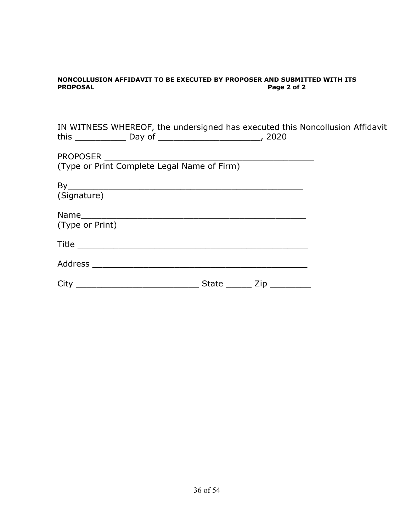#### **NONCOLLUSION AFFIDAVIT TO BE EXECUTED BY PROPOSER AND SUBMITTED WITH ITS**  Page 2 of 2

|      |        | IN WITNESS WHEREOF, the undersigned has executed this Noncollusion Affidavit |
|------|--------|------------------------------------------------------------------------------|
| this | Day of | 2020                                                                         |

## PROPOSER \_\_\_\_\_\_\_\_\_\_\_\_\_\_\_\_\_\_\_\_\_\_\_\_\_\_\_\_\_\_\_\_\_\_\_\_\_\_\_\_\_

| (Type or Print Complete Legal Name of Firm) |  |
|---------------------------------------------|--|
|---------------------------------------------|--|

| By                            |              |     |  |
|-------------------------------|--------------|-----|--|
| (Signature)                   |              |     |  |
| Name<br>(Type or Print)       |              |     |  |
| Title _______________________ |              |     |  |
| Address                       |              |     |  |
| City                          | <b>State</b> | Zip |  |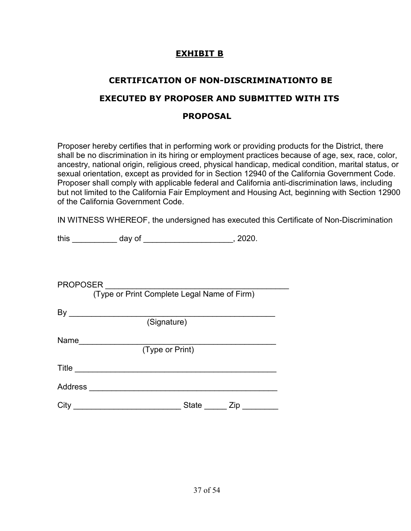#### **EXHIBIT B**

# **CERTIFICATION OF NON-DISCRIMINATIONTO BE EXECUTED BY PROPOSER AND SUBMITTED WITH ITS PROPOSAL**

Proposer hereby certifies that in performing work or providing products for the District, there shall be no discrimination in its hiring or employment practices because of age, sex, race, color, ancestry, national origin, religious creed, physical handicap, medical condition, marital status, or sexual orientation, except as provided for in Section 12940 of the California Government Code. Proposer shall comply with applicable federal and California anti-discrimination laws, including but not limited to the California Fair Employment and Housing Act, beginning with Section 12900 of the California Government Code.

IN WITNESS WHEREOF, the undersigned has executed this Certificate of Non-Discrimination

| this | day of | ,2020. |
|------|--------|--------|
|      |        |        |

| <b>PROPOSER</b> |                                             |
|-----------------|---------------------------------------------|
|                 | (Type or Print Complete Legal Name of Firm) |
|                 |                                             |
|                 | (Signature)                                 |
| Name            |                                             |
|                 | (Type or Print)                             |
| Title           |                                             |
| Address         |                                             |
| City            | State<br>Zip                                |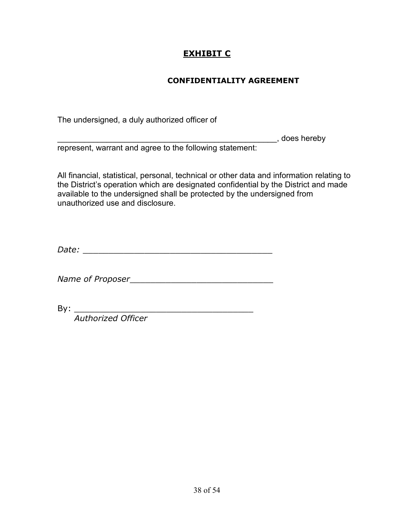### **EXHIBIT C**

#### **CONFIDENTIALITY AGREEMENT**

The undersigned, a duly authorized officer of

\_\_\_\_\_\_\_\_\_\_\_\_\_\_\_\_\_\_\_\_\_\_\_\_\_\_\_\_\_\_\_\_\_\_\_\_\_\_\_\_\_\_\_\_\_\_\_\_\_, does hereby

represent, warrant and agree to the following statement:

All financial, statistical, personal, technical or other data and information relating to the District's operation which are designated confidential by the District and made available to the undersigned shall be protected by the undersigned from unauthorized use and disclosure.

*Date:* \_\_\_\_\_\_\_\_\_\_\_\_\_\_\_\_\_\_\_\_\_\_\_\_\_\_\_\_\_\_\_\_\_\_\_\_\_

*Name of Proposer*\_\_\_\_\_\_\_\_\_\_\_\_\_\_\_\_\_\_\_\_\_\_\_\_\_\_\_\_

By: \_\_\_\_\_\_\_\_\_\_\_\_\_\_\_\_\_\_\_\_\_\_\_\_\_\_\_\_\_\_\_\_\_\_\_  *Authorized Officer*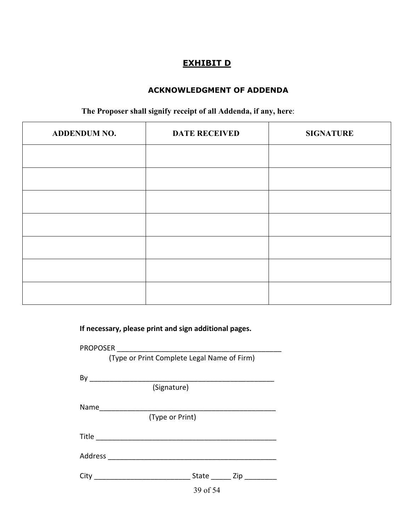#### **EXHIBIT D**

#### **ACKNOWLEDGMENT OF ADDENDA**

#### **The Proposer shall signify receipt of all Addenda, if any, here**:

| <b>ADDENDUM NO.</b> | <b>DATE RECEIVED</b> | <b>SIGNATURE</b> |
|---------------------|----------------------|------------------|
|                     |                      |                  |
|                     |                      |                  |
|                     |                      |                  |
|                     |                      |                  |
|                     |                      |                  |
|                     |                      |                  |
|                     |                      |                  |

**If necessary, please print and sign additional pages.**

| <b>PROPOSER</b>                             |                                |  |
|---------------------------------------------|--------------------------------|--|
| (Type or Print Complete Legal Name of Firm) |                                |  |
|                                             |                                |  |
|                                             |                                |  |
| (Signature)                                 |                                |  |
| Name                                        |                                |  |
| (Type or Print)                             |                                |  |
|                                             |                                |  |
| Title                                       |                                |  |
|                                             |                                |  |
| Address                                     |                                |  |
|                                             |                                |  |
| City __________________                     | State Zip                      |  |
|                                             | $\mathcal{L} \cap \mathcal{L}$ |  |

39 of 54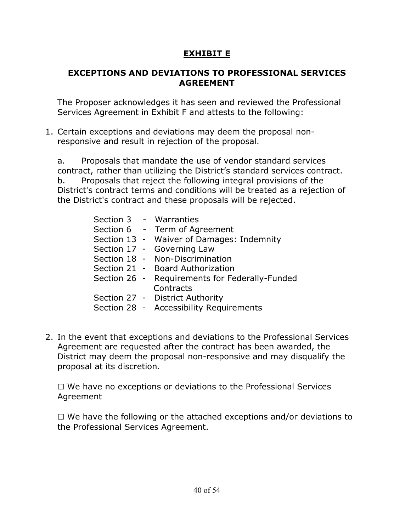### **EXHIBIT E**

#### **EXCEPTIONS AND DEVIATIONS TO PROFESSIONAL SERVICES AGREEMENT**

The Proposer acknowledges it has seen and reviewed the Professional Services Agreement in Exhibit F and attests to the following:

1. Certain exceptions and deviations may deem the proposal nonresponsive and result in rejection of the proposal.

a. Proposals that mandate the use of vendor standard services contract, rather than utilizing the District's standard services contract. b. Proposals that reject the following integral provisions of the District's contract terms and conditions will be treated as a rejection of the District's contract and these proposals will be rejected.

|  | Section 3 - Warranties                         |
|--|------------------------------------------------|
|  | Section 6 - Term of Agreement                  |
|  | Section 13 - Waiver of Damages: Indemnity      |
|  | Section 17 - Governing Law                     |
|  | Section 18 - Non-Discrimination                |
|  | Section 21 - Board Authorization               |
|  | Section 26 - Requirements for Federally-Funded |
|  | Contracts                                      |
|  | Section 27 - District Authority                |
|  | Section 28 - Accessibility Requirements        |

2. In the event that exceptions and deviations to the Professional Services Agreement are requested after the contract has been awarded, the District may deem the proposal non-responsive and may disqualify the proposal at its discretion.

☐ We have no exceptions or deviations to the Professional Services Agreement

 $\Box$  We have the following or the attached exceptions and/or deviations to the Professional Services Agreement.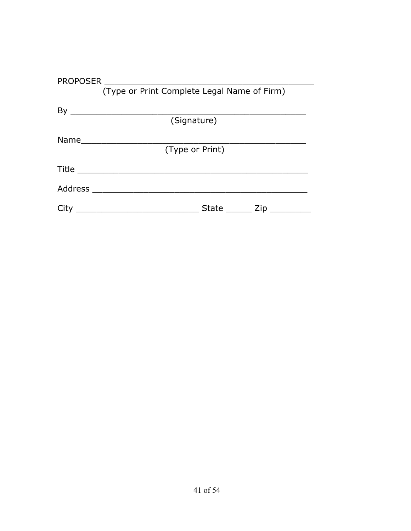| <b>PROPOSER</b>  |                                             |
|------------------|---------------------------------------------|
|                  | (Type or Print Complete Legal Name of Firm) |
|                  |                                             |
|                  |                                             |
|                  | (Signature)                                 |
|                  |                                             |
|                  | (Type or Print)                             |
|                  |                                             |
| Address ________ |                                             |
| City             | State Zip                                   |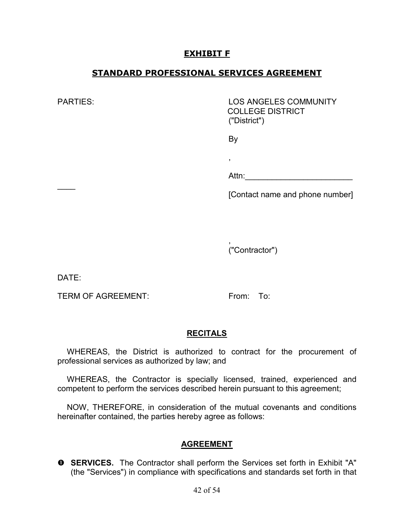### **EXHIBIT F**

#### **STANDARD PROFESSIONAL SERVICES AGREEMENT**

| <b>PARTIES:</b> | <b>LOS ANGELES COMMUNITY</b><br><b>COLLEGE DISTRICT</b><br>("District") |
|-----------------|-------------------------------------------------------------------------|
|                 | By                                                                      |
|                 |                                                                         |
|                 | Attn:                                                                   |
|                 | [Contact name and phone number]                                         |

, ("Contractor")

DATE:

TERM OF AGREEMENT: From: To:

#### **RECITALS**

WHEREAS, the District is authorized to contract for the procurement of professional services as authorized by law; and

WHEREAS, the Contractor is specially licensed, trained, experienced and competent to perform the services described herein pursuant to this agreement;

NOW, THEREFORE, in consideration of the mutual covenants and conditions hereinafter contained, the parties hereby agree as follows:

#### **AGREEMENT**

 **SERVICES.** The Contractor shall perform the Services set forth in Exhibit "A" (the "Services") in compliance with specifications and standards set forth in that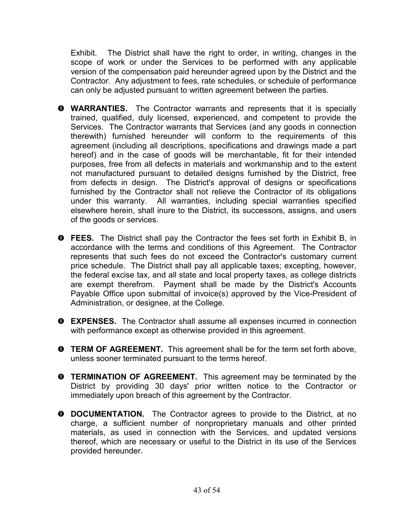Exhibit. The District shall have the right to order, in writing, changes in the scope of work or under the Services to be performed with any applicable version of the compensation paid hereunder agreed upon by the District and the Contractor. Any adjustment to fees, rate schedules, or schedule of performance can only be adjusted pursuant to written agreement between the parties.

- **WARRANTIES.** The Contractor warrants and represents that it is specially trained, qualified, duly licensed, experienced, and competent to provide the Services. The Contractor warrants that Services (and any goods in connection therewith) furnished hereunder will conform to the requirements of this agreement (including all descriptions, specifications and drawings made a part hereof) and in the case of goods will be merchantable, fit for their intended purposes, free from all defects in materials and workmanship and to the extent not manufactured pursuant to detailed designs furnished by the District, free from defects in design. The District's approval of designs or specifications furnished by the Contractor shall not relieve the Contractor of its obligations under this warranty. All warranties, including special warranties specified elsewhere herein, shall inure to the District, its successors, assigns, and users of the goods or services.
- **FEES.** The District shall pay the Contractor the fees set forth in Exhibit B, in accordance with the terms and conditions of this Agreement. The Contractor represents that such fees do not exceed the Contractor's customary current price schedule. The District shall pay all applicable taxes; excepting, however, the federal excise tax, and all state and local property taxes, as college districts are exempt therefrom. Payment shall be made by the District's Accounts Payable Office upon submittal of invoice(s) approved by the Vice-President of Administration, or designee, at the College.
- **O** EXPENSES. The Contractor shall assume all expenses incurred in connection with performance except as otherwise provided in this agreement.
- **O** TERM OF AGREEMENT. This agreement shall be for the term set forth above, unless sooner terminated pursuant to the terms hereof.
- **O** TERMINATION OF AGREEMENT. This agreement may be terminated by the District by providing 30 days' prior written notice to the Contractor or immediately upon breach of this agreement by the Contractor.
- **O** DOCUMENTATION. The Contractor agrees to provide to the District, at no charge, a sufficient number of nonproprietary manuals and other printed materials, as used in connection with the Services, and updated versions thereof, which are necessary or useful to the District in its use of the Services provided hereunder.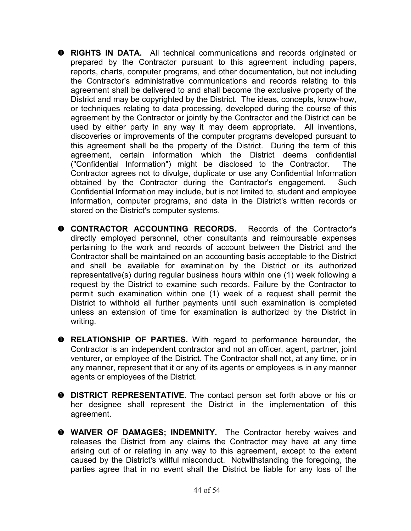- **RIGHTS IN DATA.** All technical communications and records originated or prepared by the Contractor pursuant to this agreement including papers, reports, charts, computer programs, and other documentation, but not including the Contractor's administrative communications and records relating to this agreement shall be delivered to and shall become the exclusive property of the District and may be copyrighted by the District. The ideas, concepts, know-how, or techniques relating to data processing, developed during the course of this agreement by the Contractor or jointly by the Contractor and the District can be used by either party in any way it may deem appropriate. All inventions, discoveries or improvements of the computer programs developed pursuant to this agreement shall be the property of the District. During the term of this agreement, certain information which the District deems confidential ("Confidential Information") might be disclosed to the Contractor. The Contractor agrees not to divulge, duplicate or use any Confidential Information obtained by the Contractor during the Contractor's engagement. Such Confidential Information may include, but is not limited to, student and employee information, computer programs, and data in the District's written records or stored on the District's computer systems.
- **CONTRACTOR ACCOUNTING RECORDS.** Records of the Contractor's directly employed personnel, other consultants and reimbursable expenses pertaining to the work and records of account between the District and the Contractor shall be maintained on an accounting basis acceptable to the District and shall be available for examination by the District or its authorized representative(s) during regular business hours within one (1) week following a request by the District to examine such records. Failure by the Contractor to permit such examination within one (1) week of a request shall permit the District to withhold all further payments until such examination is completed unless an extension of time for examination is authorized by the District in writing.
- **RELATIONSHIP OF PARTIES.** With regard to performance hereunder, the Contractor is an independent contractor and not an officer, agent, partner, joint venturer, or employee of the District. The Contractor shall not, at any time, or in any manner, represent that it or any of its agents or employees is in any manner agents or employees of the District.
- **O** DISTRICT REPRESENTATIVE. The contact person set forth above or his or her designee shall represent the District in the implementation of this agreement.
- **WAIVER OF DAMAGES; INDEMNITY.** The Contractor hereby waives and releases the District from any claims the Contractor may have at any time arising out of or relating in any way to this agreement, except to the extent caused by the District's willful misconduct. Notwithstanding the foregoing, the parties agree that in no event shall the District be liable for any loss of the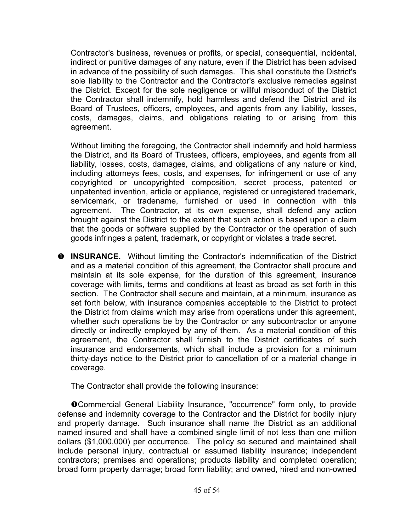Contractor's business, revenues or profits, or special, consequential, incidental, indirect or punitive damages of any nature, even if the District has been advised in advance of the possibility of such damages. This shall constitute the District's sole liability to the Contractor and the Contractor's exclusive remedies against the District. Except for the sole negligence or willful misconduct of the District the Contractor shall indemnify, hold harmless and defend the District and its Board of Trustees, officers, employees, and agents from any liability, losses, costs, damages, claims, and obligations relating to or arising from this agreement.

Without limiting the foregoing, the Contractor shall indemnify and hold harmless the District, and its Board of Trustees, officers, employees, and agents from all liability, losses, costs, damages, claims, and obligations of any nature or kind, including attorneys fees, costs, and expenses, for infringement or use of any copyrighted or uncopyrighted composition, secret process, patented or unpatented invention, article or appliance, registered or unregistered trademark, servicemark, or tradename, furnished or used in connection with this agreement. The Contractor, at its own expense, shall defend any action brought against the District to the extent that such action is based upon a claim that the goods or software supplied by the Contractor or the operation of such goods infringes a patent, trademark, or copyright or violates a trade secret.

**O** INSURANCE. Without limiting the Contractor's indemnification of the District and as a material condition of this agreement, the Contractor shall procure and maintain at its sole expense, for the duration of this agreement, insurance coverage with limits, terms and conditions at least as broad as set forth in this section. The Contractor shall secure and maintain, at a minimum, insurance as set forth below, with insurance companies acceptable to the District to protect the District from claims which may arise from operations under this agreement, whether such operations be by the Contractor or any subcontractor or anyone directly or indirectly employed by any of them. As a material condition of this agreement, the Contractor shall furnish to the District certificates of such insurance and endorsements, which shall include a provision for a minimum thirty-days notice to the District prior to cancellation of or a material change in coverage.

The Contractor shall provide the following insurance:

Commercial General Liability Insurance, "occurrence" form only, to provide defense and indemnity coverage to the Contractor and the District for bodily injury and property damage. Such insurance shall name the District as an additional named insured and shall have a combined single limit of not less than one million dollars (\$1,000,000) per occurrence. The policy so secured and maintained shall include personal injury, contractual or assumed liability insurance; independent contractors; premises and operations; products liability and completed operation; broad form property damage; broad form liability; and owned, hired and non-owned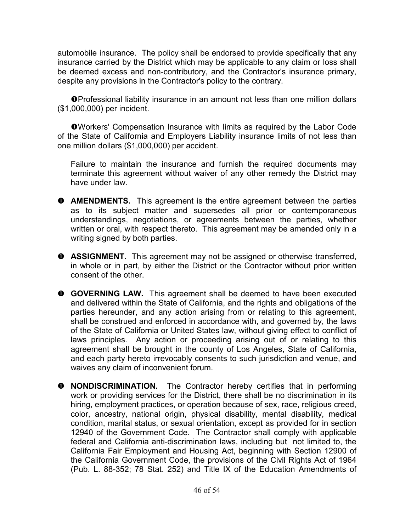automobile insurance. The policy shall be endorsed to provide specifically that any insurance carried by the District which may be applicable to any claim or loss shall be deemed excess and non-contributory, and the Contractor's insurance primary, despite any provisions in the Contractor's policy to the contrary.

Professional liability insurance in an amount not less than one million dollars (\$1,000,000) per incident.

Workers' Compensation Insurance with limits as required by the Labor Code of the State of California and Employers Liability insurance limits of not less than one million dollars (\$1,000,000) per accident.

Failure to maintain the insurance and furnish the required documents may terminate this agreement without waiver of any other remedy the District may have under law.

- **AMENDMENTS.** This agreement is the entire agreement between the parties as to its subject matter and supersedes all prior or contemporaneous understandings, negotiations, or agreements between the parties, whether written or oral, with respect thereto. This agreement may be amended only in a writing signed by both parties.
- **ASSIGNMENT.** This agreement may not be assigned or otherwise transferred, in whole or in part, by either the District or the Contractor without prior written consent of the other.
- **O** GOVERNING LAW. This agreement shall be deemed to have been executed and delivered within the State of California, and the rights and obligations of the parties hereunder, and any action arising from or relating to this agreement, shall be construed and enforced in accordance with, and governed by, the laws of the State of California or United States law, without giving effect to conflict of laws principles. Any action or proceeding arising out of or relating to this agreement shall be brought in the county of Los Angeles, State of California, and each party hereto irrevocably consents to such jurisdiction and venue, and waives any claim of inconvenient forum.
- **O** NONDISCRIMINATION. The Contractor hereby certifies that in performing work or providing services for the District, there shall be no discrimination in its hiring, employment practices, or operation because of sex, race, religious creed, color, ancestry, national origin, physical disability, mental disability, medical condition, marital status, or sexual orientation, except as provided for in section 12940 of the Government Code. The Contractor shall comply with applicable federal and California anti-discrimination laws, including but not limited to, the California Fair Employment and Housing Act, beginning with Section 12900 of the California Government Code, the provisions of the Civil Rights Act of 1964 (Pub. L. 88-352; 78 Stat. 252) and Title IX of the Education Amendments of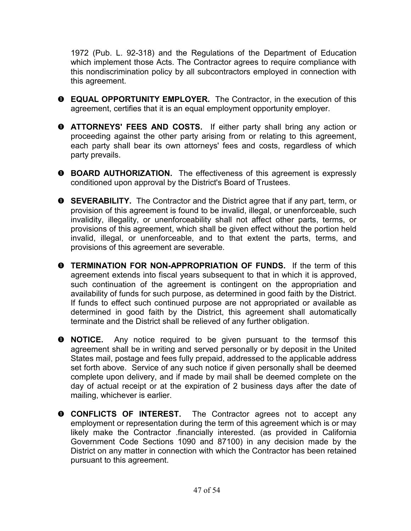1972 (Pub. L. 92-318) and the Regulations of the Department of Education which implement those Acts. The Contractor agrees to require compliance with this nondiscrimination policy by all subcontractors employed in connection with this agreement.

- **EQUAL OPPORTUNITY EMPLOYER.** The Contractor, in the execution of this agreement, certifies that it is an equal employment opportunity employer.
- **ATTORNEYS' FEES AND COSTS.** If either party shall bring any action or proceeding against the other party arising from or relating to this agreement, each party shall bear its own attorneys' fees and costs, regardless of which party prevails.
- **O** BOARD AUTHORIZATION. The effectiveness of this agreement is expressly conditioned upon approval by the District's Board of Trustees.
- **SEVERABILITY.** The Contractor and the District agree that if any part, term, or provision of this agreement is found to be invalid, illegal, or unenforceable, such invalidity, illegality, or unenforceability shall not affect other parts, terms, or provisions of this agreement, which shall be given effect without the portion held invalid, illegal, or unenforceable, and to that extent the parts, terms, and provisions of this agreement are severable.
- **TERMINATION FOR NON-APPROPRIATION OF FUNDS.** If the term of this agreement extends into fiscal years subsequent to that in which it is approved, such continuation of the agreement is contingent on the appropriation and availability of funds for such purpose, as determined in good faith by the District. If funds to effect such continued purpose are not appropriated or available as determined in good faith by the District, this agreement shall automatically terminate and the District shall be relieved of any further obligation.
- **O** NOTICE. Any notice required to be given pursuant to the termsof this agreement shall be in writing and served personally or by deposit in the United States mail, postage and fees fully prepaid, addressed to the applicable address set forth above. Service of any such notice if given personally shall be deemed complete upon delivery, and if made by mail shall be deemed complete on the day of actual receipt or at the expiration of 2 business days after the date of mailing, whichever is earlier.
- **O CONFLICTS OF INTEREST.** The Contractor agrees not to accept any employment or representation during the term of this agreement which is or may likely make the Contractor .financially interested. (as provided in California Government Code Sections 1090 and 87100) in any decision made by the District on any matter in connection with which the Contractor has been retained pursuant to this agreement.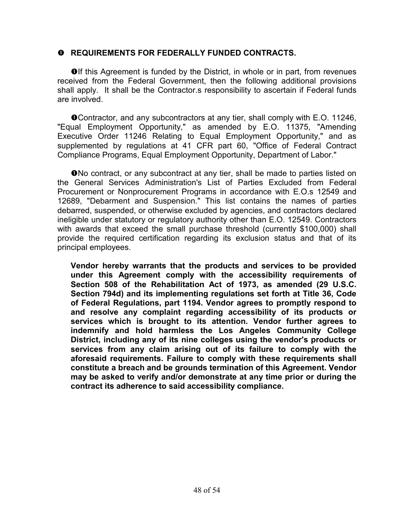#### **Q REQUIREMENTS FOR FEDERALLY FUNDED CONTRACTS.**

**Olf this Agreement is funded by the District, in whole or in part, from revenues** received from the Federal Government, then the following additional provisions shall apply. It shall be the Contractor.s responsibility to ascertain if Federal funds are involved.

Contractor, and any subcontractors at any tier, shall comply with E.O. 11246, "Equal Employment Opportunity," as amended by E.O. 11375, "Amending Executive Order 11246 Relating to Equal Employment Opportunity," and as supplemented by regulations at 41 CFR part 60, "Office of Federal Contract Compliance Programs, Equal Employment Opportunity, Department of Labor."

No contract, or any subcontract at any tier, shall be made to parties listed on the General Services Administration's List of Parties Excluded from Federal Procurement or Nonprocurement Programs in accordance with E.O.s 12549 and 12689, "Debarment and Suspension." This list contains the names of parties debarred, suspended, or otherwise excluded by agencies, and contractors declared ineligible under statutory or regulatory authority other than E.O. 12549. Contractors with awards that exceed the small purchase threshold (currently \$100,000) shall provide the required certification regarding its exclusion status and that of its principal employees.

**Vendor hereby warrants that the products and services to be provided under this Agreement comply with the accessibility requirements of Section 508 of the Rehabilitation Act of 1973, as amended (29 U.S.C. Section 794d) and its implementing regulations set forth at Title 36, Code of Federal Regulations, part 1194. Vendor agrees to promptly respond to and resolve any complaint regarding accessibility of its products or services which is brought to its attention. Vendor further agrees to indemnify and hold harmless the Los Angeles Community College District, including any of its nine colleges using the vendor's products or services from any claim arising out of its failure to comply with the aforesaid requirements. Failure to comply with these requirements shall constitute a breach and be grounds termination of this Agreement. Vendor may be asked to verify and/or demonstrate at any time prior or during the contract its adherence to said accessibility compliance.**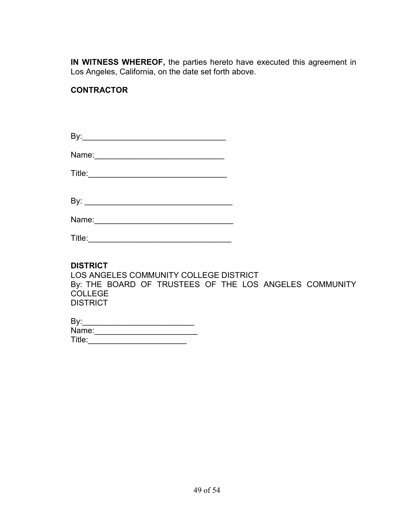**IN WITNESS WHEREOF,** the parties hereto have executed this agreement in Los Angeles, California, on the date set forth above.

#### **CONTRACTOR**

| D |  |  |
|---|--|--|
|   |  |  |

| Title: |  |  |  |  |
|--------|--|--|--|--|
|        |  |  |  |  |
|        |  |  |  |  |

| By: |  |  |  |  |  |  |  |  |  |  |  |  |  |
|-----|--|--|--|--|--|--|--|--|--|--|--|--|--|
|     |  |  |  |  |  |  |  |  |  |  |  |  |  |

| Name: |  |  |  |
|-------|--|--|--|
|       |  |  |  |

| Title: |  |  |  |  |  |  |  |
|--------|--|--|--|--|--|--|--|
|        |  |  |  |  |  |  |  |

#### **DISTRICT**

LOS ANGELES COMMUNITY COLLEGE DISTRICT By: THE BOARD OF TRUSTEES OF THE LOS ANGELES COMMUNITY COLLEGE **DISTRICT** 

| By:    |  |  |  |
|--------|--|--|--|
| Name:  |  |  |  |
| Title: |  |  |  |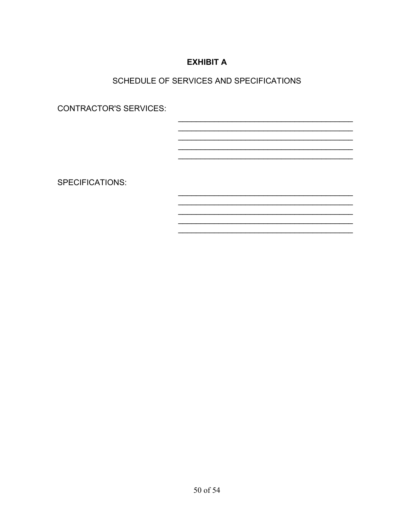### **EXHIBIT A**

SCHEDULE OF SERVICES AND SPECIFICATIONS

**CONTRACTOR'S SERVICES:** 

SPECIFICATIONS: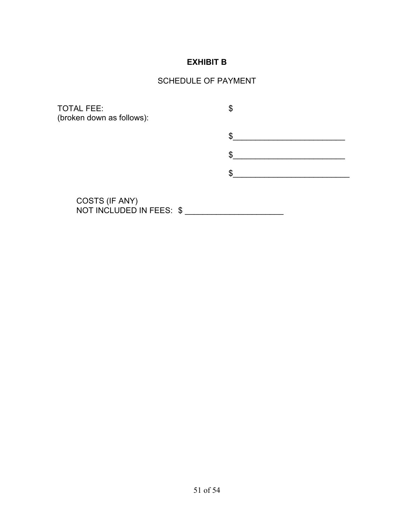### **EXHIBIT B**

### SCHEDULE OF PAYMENT

| <b>TOTAL FEE:</b><br>(broken down as follows): | \$ |
|------------------------------------------------|----|
|                                                | S  |
|                                                |    |
|                                                | \$ |
| COSTS (IF ANY)<br>NOT INCLUDED IN FEES: \$     |    |

51 of 54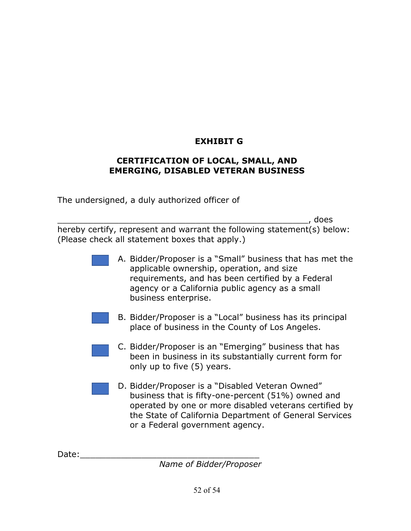### **EXHIBIT G**

### **CERTIFICATION OF LOCAL, SMALL, AND EMERGING, DISABLED VETERAN BUSINESS**

The undersigned, a duly authorized officer of

\_\_\_\_\_\_\_\_\_\_\_\_\_\_\_\_\_\_\_\_\_\_\_\_\_\_\_\_\_\_\_\_\_\_\_\_\_\_\_\_\_\_\_\_\_\_\_\_\_, does hereby certify, represent and warrant the following statement(s) below: (Please check all statement boxes that apply.)

| A. Bidder/Proposer is a "Small" business that has met the<br>applicable ownership, operation, and size<br>requirements, and has been certified by a Federal<br>agency or a California public agency as a small<br>business enterprise.                        |
|---------------------------------------------------------------------------------------------------------------------------------------------------------------------------------------------------------------------------------------------------------------|
| B. Bidder/Proposer is a "Local" business has its principal<br>place of business in the County of Los Angeles.                                                                                                                                                 |
| C. Bidder/Proposer is an "Emerging" business that has<br>been in business in its substantially current form for<br>only up to five (5) years.                                                                                                                 |
| D. Bidder/Proposer is a "Disabled Veteran Owned"<br>business that is fifty-one-percent (51%) owned and<br>operated by one or more disabled veterans certified by<br>the State of California Department of General Services<br>or a Federal government agency. |

Date:\_\_\_\_\_\_\_\_\_\_\_\_\_\_\_\_\_\_\_\_\_\_\_\_\_\_\_\_\_\_\_\_\_\_\_

 *Name of Bidder/Proposer*